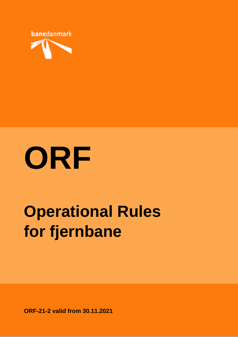



# **Operational Rules for fjernbane**

**ORF-21-2 valid from 30.11.2021**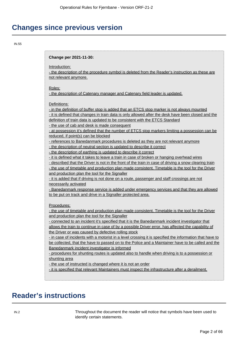# **Changes since previous version**

IN.55

#### **Change per 2021-11-30:**

Introduction:

- the description of the procedure symbol is deleted from the Reader's instruction as these are not relevant anymore.

#### Roles:

- the description of Catenary manager and Catenary field leader is updated.

Definitions:

- in the definition of buffer stop is added that an ETCS stop marker is not always mounted - it is defined that changes in train data is only allowed after the desk have been closed and the definition of train data is updated to be consistent with the ETCS Standard

- the use of cab and desk is made consequent

- at possession it's defined that the number of ETCS stop markers limiting a possession can be reduced, if point(s) can be blocked

- references to Banedanmark procedures is deleted as they are not relevant anymore

- the description of neutral section is updated to describe it correct

- the description of earthing is updated to describe it correct

- it is defined what it takes to leave a train in case of broken or hanging overhead wires

- described that the Driver is not in the front of the train in case of driving a snow clearing train - the use of timetable and production plan made consistent. Timetable is the tool for the Driver and production plan the tool for the Signaller

- it is added that if driving is not done on a route, passenger and staff crossings are not necessarily activated

- Banedanmark response service is added under emergency services and that they are allowed to be put on track and drive in a Signaller protected area.

Procedures:

- the use of timetable and production plan made consistent. Timetable is the tool for the Driver and production plan the tool for the Signaller

- connected to an incident it's specified that it is the Banedanmark incident investigator that allows the train to continue in case of by a possible Driver error, has affected the capability of the Driver or was caused by defective rolling stock

- in case of incidents with a motorist in a level crossing it is specified the information that have to be collected, that the have to passed on to the Police and a Maintainer have to be called and the Banedanmark incident investigator is informed

- procedures for shunting routes is updated also to handle when driving is to a possession or shunting area

- the use of instructed is changed where it is not an order

- it is specified that relevant Maintainers must inspect the infrastructure after a derailment.

# **Reader's instructions**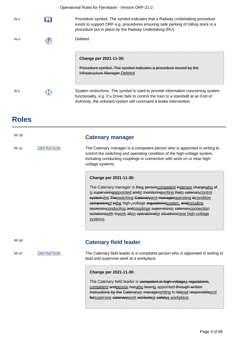|      | Operational Rules for Fjernbane - Version ORF-21-2                                                                                                                                                                                              |
|------|-------------------------------------------------------------------------------------------------------------------------------------------------------------------------------------------------------------------------------------------------|
| IN.3 | Procedure symbol. The symbol indicates that a Railway Undertaking procedure<br>exists to support ORF e.g. procedures ensuring safe parking of rolling stock is a<br>procedure put in place by the Railway Undertaking (RU).                     |
| IN.4 | Deleted                                                                                                                                                                                                                                         |
|      | Change per 2021-11-30:<br>Procedure symbol. The symbol indicates a procedure issued by the<br>Infrastructure Manager-Deleted                                                                                                                    |
| IN.5 | System restrictions. The symbol is used to provide information concerning system<br>functionality, e.g. if a Driver fails to control the train to a standstill at an End of<br>Authority, the onboard system will command a brake intervention. |

# **Roles**

| <b>RF.30</b>                      |                   | <b>Catenary manager</b>                                                                                                                                                                                                                                                                                                                                                                                                                                                       |
|-----------------------------------|-------------------|-------------------------------------------------------------------------------------------------------------------------------------------------------------------------------------------------------------------------------------------------------------------------------------------------------------------------------------------------------------------------------------------------------------------------------------------------------------------------------|
| <b>DEFINITION</b><br><b>RF.31</b> |                   | The Catenary manager is a competent person who is appointed in writing to<br>control the switching and operating condition of the high-voltage system,<br>including conducting couplings in connection with work on or near high-<br>voltage systems.                                                                                                                                                                                                                         |
|                                   |                   | Change per 2021-11-30:<br>The Catenary manager is the a personcompetent inperson chargewho of<br>is supervising appointed and in monitoring writing the to catenary control<br>system-the Theswitching Catenaryand manageroperating iscondition<br>competentof inthe high--voltage regulationssystem, and including<br>assessesconducting andcouplings supervisesin catenaryconnection<br>isolations with inwork allon operationalor situations near high-voltage<br>systems. |
| RF.66                             |                   | <b>Catenary field leader</b>                                                                                                                                                                                                                                                                                                                                                                                                                                                  |
| <b>RF.67</b>                      | <b>DEFINITION</b> | The Catenary field leader is a competent person who is appointed in writing to<br>lead and supervise work at a workplace.                                                                                                                                                                                                                                                                                                                                                     |
|                                   |                   | Change per 2021-11-30:<br>The Catenary field leader is competent in high voltagea regulations,<br>competent andperson haswho beenis appointed through written<br>instructions by the Catenaryin managerwriting to belead responsibleand<br>forsupervise catenarywork worksiteat safetya workplace.                                                                                                                                                                            |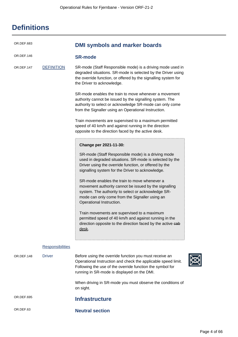| <b>Definitions</b> |
|--------------------|
|--------------------|

| OR.DEF.683 |                         | <b>DMI symbols and marker boards</b>                                                                                                                                                                                                                                                                                                                                                                                                                                                                                                                                                                                                                                              |
|------------|-------------------------|-----------------------------------------------------------------------------------------------------------------------------------------------------------------------------------------------------------------------------------------------------------------------------------------------------------------------------------------------------------------------------------------------------------------------------------------------------------------------------------------------------------------------------------------------------------------------------------------------------------------------------------------------------------------------------------|
| OR.DEF.146 |                         | <b>SR-mode</b>                                                                                                                                                                                                                                                                                                                                                                                                                                                                                                                                                                                                                                                                    |
| OR.DEF.147 | <b>DEFINITION</b>       | SR-mode (Staff Responsible mode) is a driving mode used in<br>degraded situations. SR-mode is selected by the Driver using<br>the override function, or offered by the signalling system for<br>the Driver to acknowledge.                                                                                                                                                                                                                                                                                                                                                                                                                                                        |
|            |                         | SR-mode enables the train to move whenever a movement<br>authority cannot be issued by the signalling system. The<br>authority to select or acknowledge SR-mode can only come<br>from the Signaller using an Operational Instruction.                                                                                                                                                                                                                                                                                                                                                                                                                                             |
|            |                         | Train movements are supervised to a maximum permitted<br>speed of 40 km/h and against running in the direction<br>opposite to the direction faced by the active desk.                                                                                                                                                                                                                                                                                                                                                                                                                                                                                                             |
|            |                         | Change per 2021-11-30:<br>SR-mode (Staff Responsible mode) is a driving mode<br>used in degraded situations. SR-mode is selected by the<br>Driver using the override function, or offered by the<br>signalling system for the Driver to acknowledge.<br>SR-mode enables the train to move whenever a<br>movement authority cannot be issued by the signalling<br>system. The authority to select or acknowledge SR-<br>mode can only come from the Signaller using an<br>Operational Instruction.<br>Train movements are supervised to a maximum<br>permitted speed of 40 km/h and against running in the<br>direction opposite to the direction faced by the active eab<br>desk. |
|            | <b>Responsibilities</b> |                                                                                                                                                                                                                                                                                                                                                                                                                                                                                                                                                                                                                                                                                   |
| OR.DEF.148 | <b>Driver</b>           | Before using the override function you must receive an<br>Operational Instruction and check the applicable speed limit.<br>Following the use of the override function the symbol for<br>running in SR-mode is displayed on the DMI.<br>When driving in SR-mode you must observe the conditions of<br>on sight.                                                                                                                                                                                                                                                                                                                                                                    |
| OR.DEF.695 |                         | <b>Infrastructure</b>                                                                                                                                                                                                                                                                                                                                                                                                                                                                                                                                                                                                                                                             |
| OR.DEF.63  |                         | <b>Neutral section</b>                                                                                                                                                                                                                                                                                                                                                                                                                                                                                                                                                                                                                                                            |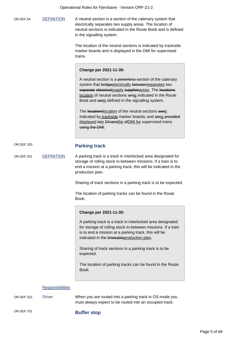OR.DEF.64 DEFINITION A neutral section is a section of the catenary system that electrically separates two supply areas. The location of neutral sections is indicated in the Route Book and is defined in the signalling system. The location of the neutral sections is indicated by trackside marker boards and is displayed in the DMI for supervised trains. **Change per 2021-11-30:** A neutral section is a powerless-section of the catenary system that bridgeelectrically betweenseparates two separate electricalsupply suppliesareas. The locations location of neutral sections areis indicated in the Route Book and areis defined in the signalling system. The locationslocation of the neutral sections areis indicated by trackside marker boards, and areis provided displayed toin Driversthe of DMI for supervised trains using the DMI. OR.DEF.320 **Parking track** OR.DEF.321 DEFINITION A parking track is a track in interlocked area designated for storage of rolling stock in-between missions. If a train is to end a mission at a parking track, this will be indicated in the production plan. Sharing of track sections in a parking track is to be expected. The location of parking tracks can be found in the Route Book. **Change per 2021-11-30:** A parking track is a track in interlocked area designated for storage of rolling stock in-between missions. If a train is to end a mission at a parking track, this will be indicated in the timetableproduction plan. Sharing of track sections in a parking track is to be expected. The location of parking tracks can be found in the Route Book. **Responsibilities** OR.DEF.322 Driver When you are routed into a parking track in OS-mode you

## OR.DEF.701 **Buffer stop**

must always expect to be routed into an occupied track.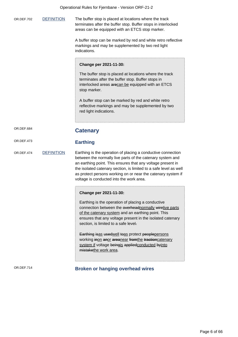OR.DEF.702 DEFINITION The buffer stop is placed at locations where the track terminates after the buffer stop. Buffer stops in interlocked areas can be equipped with an ETCS stop marker.

> A buffer stop can be marked by red and white retro reflective markings and may be supplemented by two red light indications.

#### **Change per 2021-11-30:**

The buffer stop is placed at locations where the track terminates after the buffer stop. Buffer stops in interlocked areas arecan be equipped with an ETCS stop marker.

A buffer stop can be marked by red and white retro reflective markings and may be supplemented by two red light indications.

## OR.DEF.684 **Catenary**

## OR.DEF.473 **Earthing**

OR.DEF.474 DEFINITION Earthing is the operation of placing a conductive connection between the normally live parts of the catenary system and an earthing point. This ensures that any voltage present in the isolated catenary section, is limited to a safe level as well as protect persons working on or near the catenary system if voltage is conducted into the work area.

#### **Change per 2021-11-30:**

Earthing is the operation of placing a conductive connection between the overheadnormally wirelive parts of the catenary system and an earthing point. This ensures that any voltage present in the isolated catenary section, is limited to a safe level.

Earthing isas usedwell toas protect peoplepersons working inon anor areanear fromthe tractioncatenary system if voltage beingis appliedconducted byinto mistakethe work area.

## OR.DEF.714 **Broken or hanging overhead wires**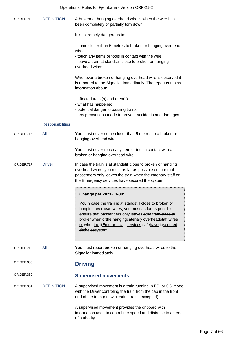| Operational Rules for Fjernbane - Version ORF-21-2 |                         |                                                                                                                                                                                                                                                                                                                     |
|----------------------------------------------------|-------------------------|---------------------------------------------------------------------------------------------------------------------------------------------------------------------------------------------------------------------------------------------------------------------------------------------------------------------|
| OR.DEF.715                                         | <b>DEFINITION</b>       | A broken or hanging overhead wire is when the wire has<br>been completely or partially torn down.                                                                                                                                                                                                                   |
|                                                    |                         | It is extremely dangerous to:                                                                                                                                                                                                                                                                                       |
|                                                    |                         | - come closer than 5 metres to broken or hanging overhead                                                                                                                                                                                                                                                           |
|                                                    |                         | wires<br>- touch any items or tools in contact with the wire<br>- leave a train at standstill close to broken or hanging<br>overhead wires.                                                                                                                                                                         |
|                                                    |                         | Whenever a broken or hanging overhead wire is observed it<br>is reported to the Signaller immediately. The report contains<br>information about:                                                                                                                                                                    |
|                                                    |                         | - affected track(s) and area(s)<br>- what has happened                                                                                                                                                                                                                                                              |
|                                                    |                         | - potential danger to passing trains<br>- any precautions made to prevent accidents and damages.                                                                                                                                                                                                                    |
|                                                    | <b>Responsibilities</b> |                                                                                                                                                                                                                                                                                                                     |
| OR.DEF.716                                         | All                     | You must never come closer than 5 metres to a broken or<br>hanging overhead wire.                                                                                                                                                                                                                                   |
|                                                    |                         | You must never touch any item or tool in contact with a<br>broken or hanging overhead wire.                                                                                                                                                                                                                         |
| OR.DEF.717                                         | <b>Driver</b>           | In case the train is at standstill close to broken or hanging<br>overhead wires, you must as far as possible ensure that<br>passengers only leaves the train when the catenary staff or<br>the Emergency services have secured the system.                                                                          |
|                                                    |                         | Change per 2021-11-30:                                                                                                                                                                                                                                                                                              |
|                                                    |                         | <b>Youln case the train is at standstill close to broken or</b><br>hanging overhead wires, you must as far as possible<br>ensure that passengers only leaves athe train-close to<br>brokenwhen orthe hangingcatenary overheadstaff wires<br>or whenthe itEmergency isservices safehave tosecured<br>dothe sosystem. |
| OR.DEF.718                                         | All                     | You must report broken or hanging overhead wires to the<br>Signaller immediately.                                                                                                                                                                                                                                   |
| OR.DEF.686                                         |                         | <b>Driving</b>                                                                                                                                                                                                                                                                                                      |
| OR.DEF.380                                         |                         | <b>Supervised movements</b>                                                                                                                                                                                                                                                                                         |
| OR.DEF.381                                         | <b>DEFINITION</b>       | A supervised movement is a train running in FS- or OS-mode<br>with the Driver controling the train from the cab in the front<br>end of the train (snow clearing trains excepted).                                                                                                                                   |
|                                                    |                         | A supervised movement provides the onboard with<br>information used to control the speed and distance to an end<br>of authority.                                                                                                                                                                                    |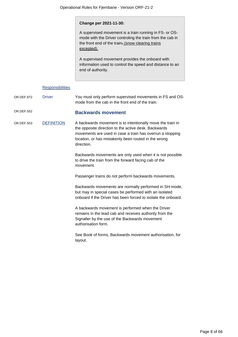#### **Change per 2021-11-30:**

A supervised movement is a train running in FS- or OSmode with the Driver controling the train from the cab in the front end of the train-(snow clearing trains excepted).

A supervised movement provides the onboard with information used to control the speed and distance to an end of authority.

#### **Responsibilities**

OR.DEF.872 Driver You must only perform supervised movements in FS and OSmode from the cab in the front end of the train.

## OR.DEF.552 **Backwards movement**

OR.DEF.553 DEFINITION A backwards movement is to intentionally move the train in the opposite direction to the active desk. Backwards movements are used in case a train has overrun a stopping location, or has mistakenly been routed in the wrong direction.

> Backwards movements are only used when it is not possible to drive the train from the forward facing cab of the movement.

Passenger trains do not perform backwards movements.

Backwards movements are normally performed in SH-mode, but may in special cases be performed with an isolated onboard if the Driver has been forced to isolate the onboard.

A backwards movement is performed when the Driver remains in the lead cab and receives authority from the Signaller by the use of the Backwards movement authorisation form.

See Book of forms, Backwards movement authorisation, for layout.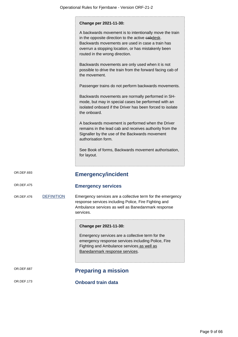|            |                   | Change per 2021-11-30:                                                                                                                                                                                                                                   |
|------------|-------------------|----------------------------------------------------------------------------------------------------------------------------------------------------------------------------------------------------------------------------------------------------------|
|            |                   | A backwards movement is to intentionally move the train<br>in the opposite direction to the active eabdesk.<br>Backwards movements are used in case a train has<br>overrun a stopping location, or has mistakenly been<br>routed in the wrong direction. |
|            |                   | Backwards movements are only used when it is not<br>possible to drive the train from the forward facing cab of<br>the movement.                                                                                                                          |
|            |                   | Passenger trains do not perform backwards movements.                                                                                                                                                                                                     |
|            |                   | Backwards movements are normally performed in SH-<br>mode, but may in special cases be performed with an<br>isolated onboard if the Driver has been forced to isolate<br>the onboard.                                                                    |
|            |                   | A backwards movement is performed when the Driver<br>remains in the lead cab and receives authority from the<br>Signaller by the use of the Backwards movement<br>authorisation form.                                                                    |
|            |                   | See Book of forms, Backwards movement authorisation,<br>for layout.                                                                                                                                                                                      |
| OR.DEF.693 |                   | <b>Emergency/incident</b>                                                                                                                                                                                                                                |
| OR.DEF.475 |                   | <b>Emergency services</b>                                                                                                                                                                                                                                |
| OR.DEF.476 | <b>DEFINITION</b> | Emergency services are a collective term for the emergency<br>response services including Police, Fire Fighting and<br>Ambulance services as well as Banedanmark response<br>services.                                                                   |
|            |                   | Change per 2021-11-30:                                                                                                                                                                                                                                   |
|            |                   | Emergency services are a collective term for the<br>emergency response services including Police, Fire<br>Fighting and Ambulance services as well as<br>Banedanmark response services.                                                                   |
| OR.DEF.687 |                   | <b>Preparing a mission</b>                                                                                                                                                                                                                               |
| OR.DEF.173 |                   | <b>Onboard train data</b>                                                                                                                                                                                                                                |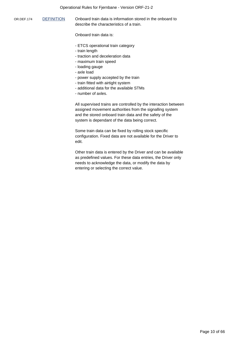#### Operational Rules for Fjernbane - Version ORF-21-2

OR.DEF.174 DEFINITION Onboard train data is information stored in the onboard to describe the characteristics of a train.

Onboard train data is:

- ETCS operational train category
- train length
- traction and deceleration data
- maximum train speed
- loading gauge
- axle load
- power supply accepted by the train
- train fitted with airtight system
- additional data for the available STMs
- number of axles.

All supervised trains are controlled by the interaction between assigned movement authorities from the signalling system and the stored onboard train data and the safety of the system is dependant of the data being correct.

Some train data can be fixed by rolling stock specific configuration. Fixed data are not available for the Driver to edit.

Other train data is entered by the Driver and can be available as predefined values. For these data entries, the Driver only needs to acknowledge the data, or modify the data by entering or selecting the correct value.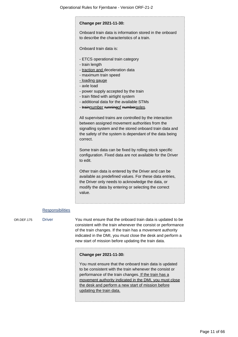## **Change per 2021-11-30:** Onboard train data is information stored in the onboard to describe the characteristics of a train. Onboard train data is: - ETCS operational train category - train length - traction and deceleration data - maximum train speed - loading gauge - axle load - power supply accepted by the train - train fitted with airtight system - additional data for the available STMs - trainnumber runningof numberaxles. All supervised trains are controlled by the interaction between assigned movement authorities from the signalling system and the stored onboard train data and the safety of the system is dependant of the data being correct. Some train data can be fixed by rolling stock specific configuration. Fixed data are not available for the Driver to edit. Other train data is entered by the Driver and can be available as predefined values. For these data entries, the Driver only needs to acknowledge the data, or modify the data by entering or selecting the correct value.

#### **Responsibilities**

OR.DEF.175 Driver You must ensure that the onboard train data is updated to be consistent with the train whenever the consist or performance of the train changes. If the train has a movement authority indicated in the DMI, you must close the desk and perform a new start of mission before updating the train data.

#### **Change per 2021-11-30:**

You must ensure that the onboard train data is updated to be consistent with the train whenever the consist or performance of the train changes. If the train has a movement authority indicated in the DMI, you must close the desk and perform a new start of mission before updating the train data.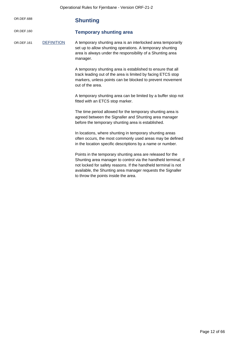| OR.DEF.688 |                   | <b>Shunting</b>                                                                                                                                                                                                                                                                                       |
|------------|-------------------|-------------------------------------------------------------------------------------------------------------------------------------------------------------------------------------------------------------------------------------------------------------------------------------------------------|
| OR.DEF.160 |                   | <b>Temporary shunting area</b>                                                                                                                                                                                                                                                                        |
| OR.DEF.161 | <b>DEFINITION</b> | A temporary shunting area is an interlocked area temporarily<br>set up to allow shunting operations. A temporary shunting<br>area is always under the responsibility of a Shunting area<br>manager.                                                                                                   |
|            |                   | A temporary shunting area is established to ensure that all<br>track leading out of the area is limited by facing ETCS stop<br>markers, unless points can be blocked to prevent movement<br>out of the area.                                                                                          |
|            |                   | A temporary shunting area can be limited by a buffer stop not<br>fitted with an ETCS stop marker.                                                                                                                                                                                                     |
|            |                   | The time period allowed for the temporary shunting area is<br>agreed between the Signaller and Shunting area manager<br>before the temporary shunting area is established.                                                                                                                            |
|            |                   | In locations, where shunting in temporary shunting areas<br>often occurs, the most commonly used areas may be defined<br>in the location specific descriptions by a name or number.                                                                                                                   |
|            |                   | Points in the temporary shunting area are released for the<br>Shunting area manager to control via the handheld terminal, if<br>not locked for safety reasons. If the handheld terminal is not<br>available, the Shunting area manager requests the Signaller<br>to throw the points inside the area. |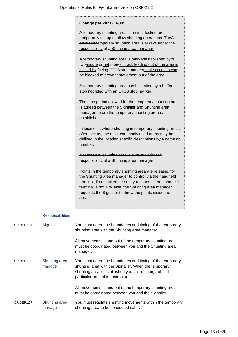|            |                          | Change per 2021-11-30:                                                                                                                                                                                                                                                                                   |
|------------|--------------------------|----------------------------------------------------------------------------------------------------------------------------------------------------------------------------------------------------------------------------------------------------------------------------------------------------------|
|            |                          | A temporary shunting area is an interlocked area<br>temporarily set up to allow shunting operations. TheA<br>boundarytemporary shunting area is always under the<br>responsibility of a Shunting area manager.                                                                                           |
|            |                          | A temporary shunting area is markedestablished byto<br>twoensure orthat moreall track leading out of the area is<br>limited by facing ETCS stop markers, unless points can<br>be blocked to prevent movement out of the area.                                                                            |
|            |                          | A temporary shunting area can be limited by a buffer<br>stop not fitted with an ETCS stop marker.                                                                                                                                                                                                        |
|            |                          | The time period allowed for the temporary shunting area<br>is agreed between the Signaller and Shunting area<br>manager before the temporary shunting area is<br>established.                                                                                                                            |
|            |                          | In locations, where shunting in temporary shunting areas<br>often occurs, the most commonly used areas may be<br>defined in the location specific descriptions by a name or<br>number-                                                                                                                   |
|            |                          | A temporary shunting area is always under the<br>responsibility of a Shunting area manager.                                                                                                                                                                                                              |
|            |                          | Points in the temporary shunting area are released for<br>the Shunting area manager to control via the handheld<br>terminal, if not locked for safety reasons. If the handheld<br>terminal is not available, the Shunting area manager<br>requests the Signaller to throw the points inside the<br>area. |
|            | <b>Responsibilities</b>  |                                                                                                                                                                                                                                                                                                          |
| OR.DEF.164 | Signaller                | You must agree the boundaries and timing of the temporary<br>shunting area with the Shunting area manager.                                                                                                                                                                                               |
|            |                          | All movements in and out of the temporary shunting area<br>must be coordinated between you and the Shunting area<br>manager.                                                                                                                                                                             |
| OR.DEF.166 | Shunting area<br>manager | You must agree the boundaries and timing of the temporary<br>shunting area with the Signaller. When the temporary<br>shunting area is established you are in charge of that<br>particular area of infrastructure.                                                                                        |
|            |                          | All movements in and out of the temporary shunting area<br>must be coordinated between you and the Signaller.                                                                                                                                                                                            |
| OR.DEF.167 | Shunting area            | You must regulate shunting movements within the temporary                                                                                                                                                                                                                                                |

shunting area to be conducted safely.

manager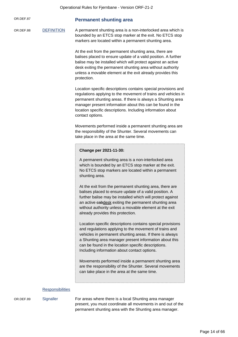| OR.DEF.87 | <b>Permanent shunting area</b> |  |  |
|-----------|--------------------------------|--|--|
|-----------|--------------------------------|--|--|

OR.DEF.88 DEFINITION A permanent shunting area is a non-interlocked area which is bounded by an ETCS stop marker at the exit. No ETCS stop markers are located within a permanent shunting area.

> At the exit from the permanent shunting area, there are balises placed to ensure update of a valid position. A further balise may be installed which will protect against an active desk exiting the permanent shunting area without authority unless a movable element at the exit already provides this protection.

Location specific descriptions contains special provisions and regulations applying to the movement of trains and vehicles in permanent shunting areas. If there is always a Shunting area manager present information about this can be found in the location specific descriptions. Including information about contact options.

Movements performed inside a permanent shunting area are the responsibility of the Shunter. Several movements can take place in the area at the same time.

#### **Change per 2021-11-30:**

A permanent shunting area is a non-interlocked area which is bounded by an ETCS stop marker at the exit. No ETCS stop markers are located within a permanent shunting area.

At the exit from the permanent shunting area, there are balises placed to ensure update of a valid position. A further balise may be installed which will protect against an active cabdesk exiting the permanent shunting area without authority unless a movable element at the exit already provides this protection.

Location specific descriptions contains special provisions and regulations applying to the movement of trains and vehicles in permanent shunting areas. If there is always a Shunting area manager present information about this can be found in the location specific descriptions. Including information about contact options.

Movements performed inside a permanent shunting area are the responsibility of the Shunter. Several movements can take place in the area at the same time.

#### **Responsibilities**

OR.DEF.89 Signaller For areas where there is a local Shunting area manager present, you must coordinate all movements in and out of the permanent shunting area with the Shunting area manager.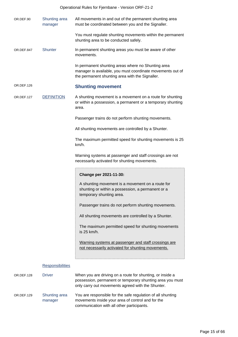|            |                          | Operational Rules for Fjernbane - Version ORF-21-2                                                                                                                          |
|------------|--------------------------|-----------------------------------------------------------------------------------------------------------------------------------------------------------------------------|
| OR.DEF.90  | Shunting area<br>manager | All movements in and out of the permanent shunting area<br>must be coordinated between you and the Signaller.                                                               |
|            |                          | You must regulate shunting movements within the permanent<br>shunting area to be conducted safely.                                                                          |
| OR.DEF.847 | <b>Shunter</b>           | In permanent shunting areas you must be aware of other<br>movements.                                                                                                        |
|            |                          | In permanent shunting areas where no Shunting area<br>manager is available, you must coordinate movements out of<br>the permanent shunting area with the Signaller.         |
| OR.DEF.126 |                          | <b>Shunting movement</b>                                                                                                                                                    |
| OR.DEF.127 | <b>DEFINITION</b>        | A shunting movement is a movement on a route for shunting<br>or within a possession, a permanent or a temporary shunting<br>area.                                           |
|            |                          | Passenger trains do not perform shunting movements.                                                                                                                         |
|            |                          | All shunting movements are controlled by a Shunter.                                                                                                                         |
|            |                          | The maximum permitted speed for shunting movements is 25<br>km/h.                                                                                                           |
|            |                          | Warning systems at passenger and staff crossings are not<br>necessarily activated for shunting movements.                                                                   |
|            |                          | Change per 2021-11-30:                                                                                                                                                      |
|            |                          | A shunting movement is a movement on a route for<br>shunting or within a possession, a permanent or a<br>temporary shunting area.                                           |
|            |                          | Passenger trains do not perform shunting movements.                                                                                                                         |
|            |                          | All shunting movements are controlled by a Shunter.                                                                                                                         |
|            |                          | The maximum permitted speed for shunting movements<br>is 25 km/h.                                                                                                           |
|            |                          | Warning systems at passenger and staff crossings are<br>not necessarily activated for shunting movements.                                                                   |
|            | <b>Responsibilities</b>  |                                                                                                                                                                             |
| OR.DEF.128 | <b>Driver</b>            | When you are driving on a route for shunting, or inside a<br>possession, permanent or temporary shunting area you must<br>only carry out movements agreed with the Shunter. |
| OR.DEF.129 | Shunting area<br>manager | You are responsible for the safe regulation of all shunting<br>movements inside your area of control and for the<br>communication with all other participants.              |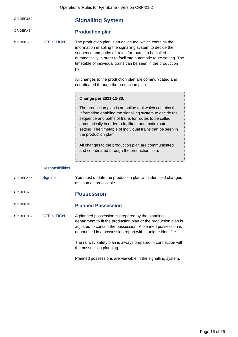| Operational Rules for Fjernbane - Version ORF-21-2 |
|----------------------------------------------------|
|                                                    |

|            |                         | $\sim$ is a contract that $\sim$ is the set of $\sim$ is a contract $\sim$ in $\sim$                                                                                                                                                                                                                                                                                                                                              |
|------------|-------------------------|-----------------------------------------------------------------------------------------------------------------------------------------------------------------------------------------------------------------------------------------------------------------------------------------------------------------------------------------------------------------------------------------------------------------------------------|
| OR.DEF.689 |                         | <b>Signalling System</b>                                                                                                                                                                                                                                                                                                                                                                                                          |
| OR.DEF.434 |                         | <b>Production plan</b>                                                                                                                                                                                                                                                                                                                                                                                                            |
| OR.DEF.435 | <b>DEFINITION</b>       | The production plan is an online tool which contains the<br>information enabling the signalling system to decide the<br>sequence and paths of trains for routes to be called<br>automatically in order to facilitate automatic route setting. The<br>timetable of individual trains can be seen in the production<br>plan.                                                                                                        |
|            |                         | All changes to the production plan are communicated and<br>coordinated through the production plan.                                                                                                                                                                                                                                                                                                                               |
|            |                         | Change per 2021-11-30:                                                                                                                                                                                                                                                                                                                                                                                                            |
|            |                         | The production plan is an online tool which contains the<br>information enabling the signalling system to decide the<br>sequence and paths of trains for routes to be called<br>automatically in order to facilitate automatic route<br>setting. The timetable of individual trains can be seen in<br>the production plan.<br>All changes to the production plan are communicated<br>and coordinated through the production plan. |
|            | <b>Responsibilities</b> |                                                                                                                                                                                                                                                                                                                                                                                                                                   |
| OR.DEF.436 | Signaller               | You must update the production plan with identified changes<br>as soon as practicable.                                                                                                                                                                                                                                                                                                                                            |
| OR.DEF.698 |                         | <b>Possession</b>                                                                                                                                                                                                                                                                                                                                                                                                                 |
| OR.DEF.338 |                         | <b>Planned Possession</b>                                                                                                                                                                                                                                                                                                                                                                                                         |
| OR.DEF.339 | <b>DEFINITION</b>       | A planned possession is prepared by the planning<br>department to fit the production plan or the production plan is<br>adjusted to contain the possession. A planned possession is<br>announced in a possession report with a unique identifier.                                                                                                                                                                                  |
|            |                         | The railway safety plan is always prepared in connection with<br>the possession planning.                                                                                                                                                                                                                                                                                                                                         |

Planned possessions are viewable in the signalling system.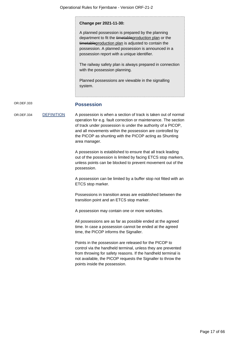**Change per 2021-11-30:**

A planned possession is prepared by the planning department to fit the timetableproduction plan or the timetable production plan is adjusted to contain the possession. A planned possession is announced in a possession report with a unique identifier.

The railway safety plan is always prepared in connection with the possession planning.

Planned possessions are viewable in the signalling system.

## OR.DEF.333 **Possession**

OR.DEF.334 DEFINITION A possession is when a section of track is taken out of normal operation for e.g. fault correction or maintenance. The section of track under possession is under the authority of a PICOP, and all movements within the possession are controlled by the PICOP as shunting with the PICOP acting as Shunting area manager.

> A possession is established to ensure that all track leading out of the possession is limited by facing ETCS stop markers, unless points can be blocked to prevent movement out of the possession.

> A possession can be limited by a buffer stop not fitted with an ETCS stop marker.

Possessions in transition areas are established between the transition point and an ETCS stop marker.

A possession may contain one or more worksites.

All possessions are as far as possible ended at the agreed time. In case a possession cannot be ended at the agreed time, the PICOP informs the Signaller.

Points in the possession are released for the PICOP to control via the handheld terminal, unless they are prevented from throwing for safety reasons. If the handheld terminal is not available, the PICOP requests the Signaller to throw the points inside the possession.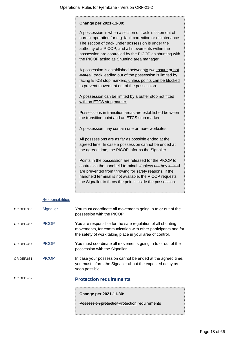#### **Change per 2021-11-30:**

A possession is when a section of track is taken out of normal operation for e.g. fault correction or maintenance. The section of track under possession is under the authority of a PICOP, and all movements within the possession are controlled by the PICOP as shunting with the PICOP acting as Shunting area manager.

A possession is established betweento twoensure orthat moreall track leading out of the possession is limited by facing ETCS stop markers, unless points can be blocked to prevent movement out of the possession.

A possession can be limited by a buffer stop not fitted with an ETCS stop marker.

Possessions in transition areas are established between the transition point and an ETCS stop marker.

A possession may contain one or more worksites.

All possessions are as far as possible ended at the agreed time. In case a possession cannot be ended at the agreed time, the PICOP informs the Signaller.

Points in the possession are released for the PICOP to control via the handheld terminal, ifunless notthey locked are prevented from throwing for safety reasons. If the handheld terminal is not available, the PICOP requests the Signaller to throw the points inside the possession.

#### **Responsibilities**

| OR.DEF.437 |              | <b>Protection requirements</b>                                                                                                                                                          |
|------------|--------------|-----------------------------------------------------------------------------------------------------------------------------------------------------------------------------------------|
| OR.DEF.661 | <b>PICOP</b> | In case your possession cannot be ended at the agreed time,<br>you must inform the Signaller about the expected delay as<br>soon possible.                                              |
| OR.DEF.337 | <b>PICOP</b> | You must coordinate all movements going in to or out of the<br>possession with the Signaller.                                                                                           |
| OR.DEF.336 | <b>PICOP</b> | You are responsible for the safe regulation of all shunting<br>movements, for communication with other participants and for<br>the safety of work taking place in your area of control. |
| OR.DEF.335 | Signaller    | You must coordinate all movements going in to or out of the<br>possession with the PICOP.                                                                                               |

**Change per 2021-11-30:**

Possession protectionProtection requirements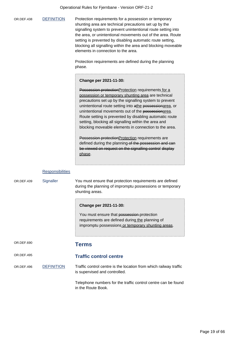|            |                         | Operational Rules for Fjernbane - Version ORF-21-2                                                                                                                                                                                                                                                                                                                                                                                                                                                                                                                                                                                                   |
|------------|-------------------------|------------------------------------------------------------------------------------------------------------------------------------------------------------------------------------------------------------------------------------------------------------------------------------------------------------------------------------------------------------------------------------------------------------------------------------------------------------------------------------------------------------------------------------------------------------------------------------------------------------------------------------------------------|
| OR.DEF.438 | <b>DEFINITION</b>       | Protection requirements for a possession or temporary<br>shunting area are technical precautions set up by the<br>signalling system to prevent unintentional route setting into<br>the area, or unintentional movements out of the area. Route<br>setting is prevented by disabling automatic route setting,<br>blocking all signalling within the area and blocking moveable<br>elements in connection to the area.<br>Protection requirements are defined during the planning<br>phase.                                                                                                                                                            |
|            |                         | Change per 2021-11-30:                                                                                                                                                                                                                                                                                                                                                                                                                                                                                                                                                                                                                               |
|            |                         | Possession protection Protection requirements for a<br>possession or temporary shunting area are technical<br>precautions set up by the signalling system to prevent<br>unintentional route setting into athe possessionarea, or<br>unintentional movements out of the possessionarea.<br>Route setting is prevented by disabling automatic route<br>setting, blocking all signalling within the area and<br>blocking moveable elements in connection to the area.<br>Possession protection Protection requirements are<br>defined during the planning-of the possession and can<br>be viewed on request on the signalling control display<br>phase. |
|            | <b>Responsibilities</b> |                                                                                                                                                                                                                                                                                                                                                                                                                                                                                                                                                                                                                                                      |
| OR.DEF.439 | Signaller               | You must ensure that protection requirements are defined<br>during the planning of impromptu possessions or temporary<br>shunting areas.                                                                                                                                                                                                                                                                                                                                                                                                                                                                                                             |
|            |                         | Change per 2021-11-30:<br>You must ensure that possession-protection<br>requirements are defined during the planning of<br>impromptu possessions or temporary shunting areas.                                                                                                                                                                                                                                                                                                                                                                                                                                                                        |
| OR.DEF.690 |                         | <b>Terms</b>                                                                                                                                                                                                                                                                                                                                                                                                                                                                                                                                                                                                                                         |

OR.DEF.495 **Traffic control centre** OR.DEF.496 DEFINITION Traffic control centre is the location from which railway traffic is supervised and controlled.

Telephone numbers for the traffic control centre can be found in the Route Book.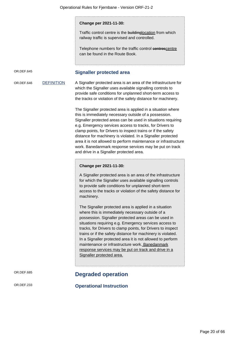#### **Change per 2021-11-30:**

Traffic control centre is the buildinglocation from which railway traffic is supervised and controlled.

Telephone numbers for the traffic control centrescentre can be found in the Route Book.

OR.DEF.645 **Signaller protected area**

OR.DEF.646 DEFINITION A Signaller protected area is an area of the infrastructure for which the Signaller uses available signalling controls to provide safe conditions for unplanned short-term access to the tracks or violation of the safety distance for machinery.

> The Signaller protected area is applied in a situation where this is immediately necessary outside of a possession. Signaller protected areas can be used in situations requiring e.g. Emergency services access to tracks, for Drivers to clamp points, for Drivers to inspect trains or if the safety distance for machinery is violated. In a Signaller protected area it is not allowed to perform maintenance or infrastructure work. Banedanmark response services may be put on track and drive in a Signaller protected area.

#### **Change per 2021-11-30:**

A Signaller protected area is an area of the infrastructure for which the Signaller uses available signalling controls to provide safe conditions for unplanned short-term access to the tracks or violation of the safety distance for machinery.

The Signaller protected area is applied in a situation where this is immediately necessary outside of a possession. Signaller protected areas can be used in situations requiring e.g. Emergency services access to tracks, for Drivers to clamp points, for Drivers to inspect trains or if the safety distance for machinery is violated. In a Signaller protected area it is not allowed to perform maintenance or infrastructure work. Banedanmark response services may be put on track and drive in a Signaller protected area.

## OR.DEF.685 **Degraded operation**

OR.DEF.233 **Operational Instruction**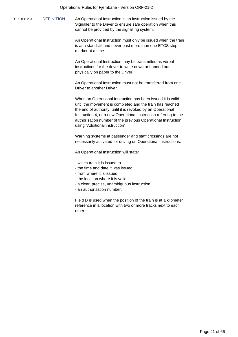OR.DEF.234 DEFINITION An Operational Instruction is an instruction issued by the Signaller to the Driver to ensure safe operation when this cannot be provided by the signalling system.

> An Operational Instruction must only be issued when the train is at a standstill and never past more than one ETCS stop marker at a time.

An Operational Instruction may be transmitted as verbal instructions for the driver to write down or handed out physically on paper to the Driver.

An Operational Instruction must not be transferred from one Driver to another Driver.

When an Operational Instruction has been issued it is valid until the movement is completed and the train has reached the end of authority, until it is revoked by an Operational Instruction 4, or a new Operational Instruction referring to the authorisation number of the previous Operational Instruction using "Additional instruction".

Warning systems at passenger and staff crossings are not necessarily activated for driving on Operational Instructions.

An Operational Instruction will state:

- which train it is issued to
- the time and date it was issued
- from where it is issued
- the location where it is valid
- a clear, precise, unambiguous instruction
- an authorisation number.

Field D is used when the position of the train is at a kilometer reference in a location with two or more tracks next to each other.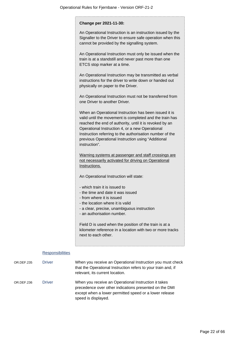|            |                         | Change per 2021-11-30:                                                                                                                                                                                                                                                                                                                                            |
|------------|-------------------------|-------------------------------------------------------------------------------------------------------------------------------------------------------------------------------------------------------------------------------------------------------------------------------------------------------------------------------------------------------------------|
|            |                         | An Operational Instruction is an instruction issued by the<br>Signaller to the Driver to ensure safe operation when this<br>cannot be provided by the signalling system.                                                                                                                                                                                          |
|            |                         | An Operational Instruction must only be issued when the<br>train is at a standstill and never past more than one<br>ETCS stop marker at a time.                                                                                                                                                                                                                   |
|            |                         | An Operational Instruction may be transmitted as verbal<br>instructions for the driver to write down or handed out<br>physically on paper to the Driver.                                                                                                                                                                                                          |
|            |                         | An Operational Instruction must not be transferred from<br>one Driver to another Driver.                                                                                                                                                                                                                                                                          |
|            |                         | When an Operational Instruction has been issued it is<br>valid until the movement is completed and the train has<br>reached the end of authority, until it is revoked by an<br>Operational Instruction 4, or a new Operational<br>Instruction referring to the authorisation number of the<br>previous Operational Instruction using "Additional<br>instruction". |
|            |                         | Warning systems at passenger and staff crossings are<br>not necessarily activated for driving on Operational<br>Instructions.                                                                                                                                                                                                                                     |
|            |                         | An Operational Instruction will state:                                                                                                                                                                                                                                                                                                                            |
|            |                         | - which train it is issued to<br>- the time and date it was issued<br>- from where it is issued<br>- the location where it is valid<br>- a clear, precise, unambiguous instruction<br>- an authorisation number.                                                                                                                                                  |
|            |                         | Field D is used when the position of the train is at a<br>kilometer reference in a location with two or more tracks<br>next to each other.                                                                                                                                                                                                                        |
|            | <b>Responsibilities</b> |                                                                                                                                                                                                                                                                                                                                                                   |
| OR.DEF.235 | <b>Driver</b>           | When you receive an Operational Instruction you must check<br>that the Operational Instruction refers to your train and, if<br>relevant, its current location.                                                                                                                                                                                                    |

OR.DEF.236 Driver When you receive an Operational Instruction it takes precedence over other indications presented on the DMI except when a lower permitted speed or a lower release speed is displayed.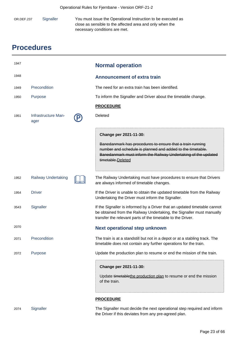| OR.DEF.237 | Signaller | You must issue the Operational Instruction to be executed as |
|------------|-----------|--------------------------------------------------------------|
|            |           | close as sensible to the affected area and only when the     |
|            |           | necessary conditions are met.                                |

# **Procedures**

| 1947 |                             | <b>Normal operation</b>                                                                                                                                                                                                                  |
|------|-----------------------------|------------------------------------------------------------------------------------------------------------------------------------------------------------------------------------------------------------------------------------------|
| 1948 |                             | <b>Announcement of extra train</b>                                                                                                                                                                                                       |
| 1949 | Precondition                | The need for an extra train has been identified.                                                                                                                                                                                         |
| 1950 | Purpose                     | To inform the Signaller and Driver about the timetable change.                                                                                                                                                                           |
|      |                             | <b>PROCEDURE</b>                                                                                                                                                                                                                         |
| 1951 | Infrastructure Man-<br>ager | Deleted                                                                                                                                                                                                                                  |
|      |                             | Change per 2021-11-30:<br>Banedanmark has procedures to ensure that a train running<br>number and schedule is planned and added to the timetable.<br>Banedanmark must inform the Railway Undertaking of the updated<br>timetable.Deleted |
| 1952 | <b>Railway Undertaking</b>  | The Railway Undertaking must have procedures to ensure that Drivers<br>are always informed of timetable changes.                                                                                                                         |
| 1954 | <b>Driver</b>               | If the Driver is unable to obtain the updated timetable from the Railway<br>Undertaking the Driver must inform the Signaller.                                                                                                            |
| 3543 | Signaller                   | If the Signaller is informed by a Driver that an updated timetable cannot<br>be obtained from the Railway Undertaking, the Signaller must manually<br>transfer the relevant parts of the timetable to the Driver.                        |
| 2070 |                             | <b>Next operational step unknown</b>                                                                                                                                                                                                     |
| 2071 | Precondition                | The train is at a standstill but not in a depot or at a stabling track. The<br>timetable does not contain any further operations for the train.                                                                                          |
| 2072 | Purpose                     | Update the production plan to resume or end the mission of the train.                                                                                                                                                                    |
|      |                             | Change per 2021-11-30:<br>Update timetablethe production plan to resume or end the mission<br>of the train.                                                                                                                              |
|      |                             | <b>PROCEDURE</b>                                                                                                                                                                                                                         |

2074 Signaller The Signaller must decide the next operational step required and inform the Driver if this deviates from any pre-agreed plan.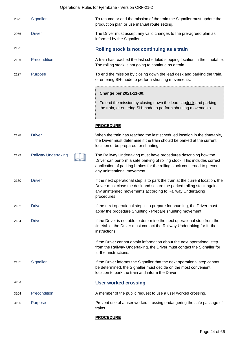| 2075 | Signaller                  | To resume or end the mission of the train the Signaller must update the<br>production plan or use manual route setting.                                                                                                                                 |
|------|----------------------------|---------------------------------------------------------------------------------------------------------------------------------------------------------------------------------------------------------------------------------------------------------|
| 2076 | <b>Driver</b>              | The Driver must accept any valid changes to the pre-agreed plan as<br>informed by the Signaller.                                                                                                                                                        |
| 2125 |                            | Rolling stock is not continuing as a train                                                                                                                                                                                                              |
| 2126 | Precondition               | A train has reached the last scheduled stopping location in the timetable.<br>The rolling stock is not going to continue as a train.                                                                                                                    |
| 2127 | Purpose                    | To end the mission by closing down the lead desk and parking the train,<br>or entering SH-mode to perform shunting movements.                                                                                                                           |
|      |                            | Change per 2021-11-30:                                                                                                                                                                                                                                  |
|      |                            | To end the mission by closing down the lead eabdesk and parking<br>the train, or entering SH-mode to perform shunting movements.                                                                                                                        |
|      |                            | <b>PROCEDURE</b>                                                                                                                                                                                                                                        |
| 2128 | <b>Driver</b>              | When the train has reached the last scheduled location in the timetable,<br>the Driver must determine if the train should be parked at the current<br>location or be prepared for shunting.                                                             |
| 2129 | <b>Railway Undertaking</b> | The Railway Undertaking must have procedures describing how the<br>Driver can perform a safe parking of rolling stock. This includes correct<br>application of parking brakes for the rolling stock concerned to prevent<br>any unintentional movement. |
| 2130 | <b>Driver</b>              | If the next operational step is to park the train at the current location, the<br>Driver must close the desk and secure the parked rolling stock against<br>any unintended movements according to Railway Undertaking<br>procedures.                    |
| 2132 | <b>Driver</b>              | If the next operational step is to prepare for shunting, the Driver must<br>apply the procedure Shunting - Prepare shunting movement.                                                                                                                   |
| 2134 | <b>Driver</b>              | If the Driver is not able to determine the next operational step from the<br>timetable, the Driver must contact the Railway Undertaking for further<br>instructions.                                                                                    |
|      |                            | If the Driver cannot obtain information about the next operational step<br>from the Railway Undertaking, the Driver must contact the Signaller for<br>further instructions.                                                                             |
| 2135 | Signaller                  | If the Driver informs the Signaller that the next operational step cannot<br>be determined, the Signaller must decide on the most convenient<br>location to park the train and inform the Driver.                                                       |
| 3103 |                            | <b>User worked crossing</b>                                                                                                                                                                                                                             |
| 3104 | Precondition               | A member of the public request to use a user worked crossing.                                                                                                                                                                                           |
| 3105 | Purpose                    | Prevent use of a user worked crossing endangering the safe passage of<br>trains.                                                                                                                                                                        |

## **PROCEDURE**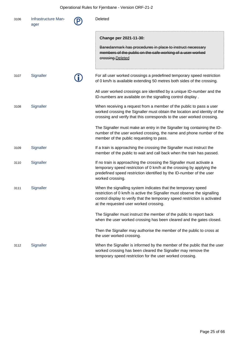## Operational Rules for Fjernbane - Version ORF-21-2

| 3106 | Infrastructure Man-<br>ager | Deleted                                                                                                                                                                                                                                                             |
|------|-----------------------------|---------------------------------------------------------------------------------------------------------------------------------------------------------------------------------------------------------------------------------------------------------------------|
|      |                             | Change per 2021-11-30:<br>Banedanmark has procedures in place to instruct necessary<br>members of the public on the safe working of a user worked<br>erossing.Deleted                                                                                               |
| 3107 | Signaller                   | For all user worked crossings a predefined temporary speed restriction<br>of 0 km/h is available extending 50 metres both sides of the crossing.                                                                                                                    |
|      |                             | All user worked crossings are identified by a unique ID-number and the<br>ID-numbers are available on the signalling control display.                                                                                                                               |
| 3108 | Signaller                   | When receiving a request from a member of the public to pass a user<br>worked crossing the Signaller must obtain the location and identity of the<br>crossing and verify that this corresponds to the user worked crossing.                                         |
|      |                             | The Signaller must make an entry in the Signaller log containing the ID-<br>number of the user worked crossing, the name and phone number of the<br>member of the public requesting to pass.                                                                        |
| 3109 | Signaller                   | If a train is approaching the crossing the Signaller must instruct the<br>member of the public to wait and call back when the train has passed.                                                                                                                     |
| 3110 | Signaller                   | If no train is approaching the crossing the Signaller must activate a<br>temporary speed restriction of 0 km/h at the crossing by applying the<br>predefined speed restriction identified by the ID-number of the user<br>worked crossing.                          |
| 3111 | Signaller                   | When the signalling system indicates that the temporary speed<br>restriction of 0 km/h is active the Signaller must observe the signalling<br>control display to verify that the temporary speed restriction is activated<br>at the requested user worked crossing. |
|      |                             | The Signaller must instruct the member of the public to report back<br>when the user worked crossing has been cleared and the gates closed.                                                                                                                         |
|      |                             | Then the Signaller may authorise the member of the public to cross at<br>the user worked crossing.                                                                                                                                                                  |
| 3112 | Signaller                   | When the Signaller is informed by the member of the public that the user<br>worked crossing has been cleared the Signaller may remove the<br>temporary speed restriction for the user worked crossing.                                                              |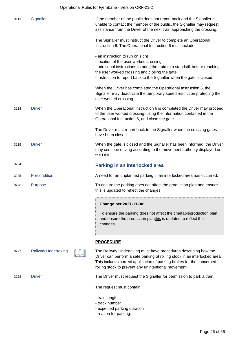| 3113 | Signaller                  | If the member of the public does not report back and the Signaller is<br>unable to contact the member of the public, the Signaller may request<br>assistance from the Driver of the next train approaching the crossing.                                                              |
|------|----------------------------|---------------------------------------------------------------------------------------------------------------------------------------------------------------------------------------------------------------------------------------------------------------------------------------|
|      |                            | The Signaller must instruct the Driver to complete an Operational<br>Instruction 6. The Operational Instruction 6 must include:                                                                                                                                                       |
|      |                            | - an instruction to run on sight<br>- location of the user worked crossing<br>- additional instructions to bring the train to a standstill before reaching<br>the user worked crossing and closing the gate<br>- instruction to report back to the Signaller when the gate is closed. |
|      |                            | When the Driver has completed the Operational Instruction 6, the<br>Signaller may deactivate the temporary speed restriction protecting the<br>user worked crossing.                                                                                                                  |
| 3114 | <b>Driver</b>              | When the Operational Instruction 6 is completed the Driver may proceed<br>to the user worked crossing, using the information contained in the<br>Operational Instruction 6, and close the gate.                                                                                       |
|      |                            | The Driver must report back to the Signaller when the crossing gates<br>have been closed.                                                                                                                                                                                             |
| 3115 | <b>Driver</b>              | When the gate is closed and the Signaller has been informed, the Driver<br>may continue driving according to the movement authority displayed on<br>the DMI.                                                                                                                          |
|      |                            |                                                                                                                                                                                                                                                                                       |
| 3224 |                            | Parking in an interlocked area                                                                                                                                                                                                                                                        |
| 3225 | Precondition               | A need for an unplanned parking in an interlocked area has occurred.                                                                                                                                                                                                                  |
| 3226 | <b>Purpose</b>             | To ensure the parking does not affect the production plan and ensure<br>this is updated to reflect the changes.                                                                                                                                                                       |
|      |                            | Change per 2021-11-30:                                                                                                                                                                                                                                                                |
|      |                            | To ensure the parking does not affect the timetable production plan<br>and ensure-the production planthis is updated to reflect the<br>changes.                                                                                                                                       |
|      |                            | <b>PROCEDURE</b>                                                                                                                                                                                                                                                                      |
| 3227 | <b>Railway Undertaking</b> | The Railway Undertaking must have procedures describing how the<br>Driver can perform a safe parking of rolling stock in an interlocked area.<br>This includes correct application of parking brakes for the concerned<br>rolling stock to prevent any unintentional movement.        |
| 3228 | <b>Driver</b>              | The Driver must request the Signaller for permission to park a train.                                                                                                                                                                                                                 |
|      |                            | The request must contain:                                                                                                                                                                                                                                                             |

- expected parking duration
- reason for parking.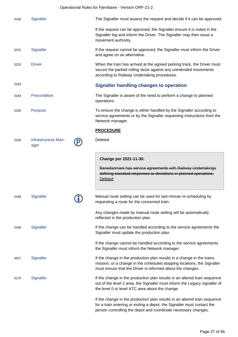Operational Rules for Fjernbane - Version ORF-21-2

| 3230 | Signaller                   | The Signaller must assess the request and decide if it can be approved.                                                                                                                                                |
|------|-----------------------------|------------------------------------------------------------------------------------------------------------------------------------------------------------------------------------------------------------------------|
|      |                             | If the request can be approved, the Signaller ensure it is noted in the<br>Signaller log and inform the Driver. The Signaller may then issue a<br>movement authority.                                                  |
| 3231 | Signaller                   | If the request cannot be approved, the Signaller must inform the Driver<br>and agree on an alternative.                                                                                                                |
| 3232 | <b>Driver</b>               | When the train has arrived at the agreed parking track, the Driver must<br>secure the parked rolling stock against any unintended movements<br>according to Railway Undertaking procedures.                            |
| 3163 |                             | <b>Signaller handling changes to operation</b>                                                                                                                                                                         |
| 3164 | Precondition                | The Signaller is aware of the need to perform a change to planned<br>operations.                                                                                                                                       |
| 3165 | Purpose                     | To ensure the change is either handled by the Signaller according to<br>service agreements or by the Signaller requesting instructions from the<br>Network manager.                                                    |
|      |                             | <b>PROCEDURE</b>                                                                                                                                                                                                       |
| 3166 | Infrastructure Man-<br>ager | Deleted                                                                                                                                                                                                                |
|      |                             | Change per 2021-11-30:<br>Banedanmark has service agreements with Railway Undertakings<br>defining standard responses to deviations in planned operations.<br>Deleted                                                  |
| 3168 | Signaller                   | Manual route setting can be used for last-minute re-scheduling by<br>requesting a route for the concerned train.                                                                                                       |
|      |                             | Any changes made by manual route setting will be automatically<br>reflected in the production plan.                                                                                                                    |
| 3169 | Signaller                   | If the change can be handled according to the service agreements the<br>Signaller must update the production plan.                                                                                                     |
|      |                             | If the change cannot be handled according to the service agreements<br>the Signaller must inform the Network manager.                                                                                                  |
| 3557 | Signaller                   | If the change in the production plan results in a change in the trains<br>mission, or a change in the scheduled stopping locations, the Signaller<br>must ensure that the Driver is informed about the changes.        |
| 3170 | Signaller                   | If the change in the production plan results in an altered train sequence<br>out of the level 2 area, the Signaller must inform the Legacy signaller of<br>the level 0 or level ATC area about the change.             |
|      |                             | If the change in the production plan results in an altered train sequence<br>for a train entering or exiting a depot, the Signaller must contact the<br>person controlling the depot and coordinate necessary changes. |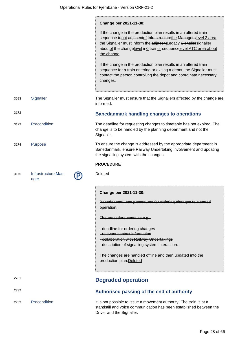|      |                             | Change per 2021-11-30:                                                                                                                                                                                                                                                                       |
|------|-----------------------------|----------------------------------------------------------------------------------------------------------------------------------------------------------------------------------------------------------------------------------------------------------------------------------------------|
|      |                             | If the change in the production plan results in an altered train<br>sequence toout adjacentof Infrastructurethe Managerslevel 2 area,<br>the Signaller must inform the adjacentLegacy Signallersignaller<br>aboutof the changelevel in 0 trainor sequencelevel ATC area about<br>the change. |
|      |                             | If the change in the production plan results in an altered train<br>sequence for a train entering or exiting a depot, the Signaller must<br>contact the person controlling the depot and coordinate necessary<br>changes.                                                                    |
| 3593 | Signaller                   | The Signaller must ensure that the Signallers affected by the change are<br>informed.                                                                                                                                                                                                        |
| 3172 |                             | <b>Banedanmark handling changes to operations</b>                                                                                                                                                                                                                                            |
| 3173 | Precondition                | The deadline for requesting changes to timetable has not expired. The<br>change is to be handled by the planning department and not the<br>Signaller.                                                                                                                                        |
| 3174 | Purpose                     | To ensure the change is addressed by the appropriate department in<br>Banedanmark, ensure Railway Undertaking involvement and updating<br>the signalling system with the changes.                                                                                                            |
|      |                             | <b>PROCEDURE</b>                                                                                                                                                                                                                                                                             |
| 3175 | Infrastructure Man-<br>ager | Deleted                                                                                                                                                                                                                                                                                      |
|      |                             | Change per 2021-11-30:                                                                                                                                                                                                                                                                       |
|      |                             | Banedanmark has procedures for ordering changes to planned<br>operation.                                                                                                                                                                                                                     |
|      |                             | The procedure contains e.g.:                                                                                                                                                                                                                                                                 |
|      |                             | - deadline for ordering changes                                                                                                                                                                                                                                                              |
|      |                             | -relevant contact information<br>-collaboration with Railway Undertakings                                                                                                                                                                                                                    |
|      |                             | -description of signalling system interaction.                                                                                                                                                                                                                                               |
|      |                             | The changes are handled offline and then updated into the<br>production plan. Deleted                                                                                                                                                                                                        |
| 2731 |                             | <b>Degraded operation</b>                                                                                                                                                                                                                                                                    |
| 2732 |                             | Authorised passing of the end of authority                                                                                                                                                                                                                                                   |
|      |                             |                                                                                                                                                                                                                                                                                              |

standstill and voice communication has been established between the Driver and the Signaller.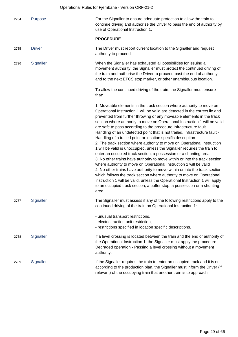| 2734 | Purpose       | For the Signaller to ensure adequate protection to allow the train to<br>continue driving and authorise the Driver to pass the end of authority by<br>use of Operational Instruction 1.                                                                                                                                                                                                                                                                                                                                                                                                                                                                                                                                                                                                                                                                                                                                                                                                                                                                                                                                                                                                                                                     |
|------|---------------|---------------------------------------------------------------------------------------------------------------------------------------------------------------------------------------------------------------------------------------------------------------------------------------------------------------------------------------------------------------------------------------------------------------------------------------------------------------------------------------------------------------------------------------------------------------------------------------------------------------------------------------------------------------------------------------------------------------------------------------------------------------------------------------------------------------------------------------------------------------------------------------------------------------------------------------------------------------------------------------------------------------------------------------------------------------------------------------------------------------------------------------------------------------------------------------------------------------------------------------------|
|      |               | <b>PROCEDURE</b>                                                                                                                                                                                                                                                                                                                                                                                                                                                                                                                                                                                                                                                                                                                                                                                                                                                                                                                                                                                                                                                                                                                                                                                                                            |
| 2735 | <b>Driver</b> | The Driver must report current location to the Signaller and request<br>authority to proceed.                                                                                                                                                                                                                                                                                                                                                                                                                                                                                                                                                                                                                                                                                                                                                                                                                                                                                                                                                                                                                                                                                                                                               |
| 2736 | Signaller     | When the Signaller has exhausted all possibilities for issuing a<br>movement authority, the Signaller must protect the continued driving of<br>the train and authorise the Driver to proceed past the end of authority<br>and to the next ETCS stop marker, or other unambiguous location.                                                                                                                                                                                                                                                                                                                                                                                                                                                                                                                                                                                                                                                                                                                                                                                                                                                                                                                                                  |
|      |               | To allow the continued driving of the train, the Signaller must ensure<br>that:                                                                                                                                                                                                                                                                                                                                                                                                                                                                                                                                                                                                                                                                                                                                                                                                                                                                                                                                                                                                                                                                                                                                                             |
|      |               | 1. Moveable elements in the track section where authority to move on<br>Operational Instruction 1 will be valid are detected in the correct lie and<br>prevented from further throwing or any moveable elements in the track<br>section where authority to move on Operational Instruction 1 will be valid<br>are safe to pass according to the procedure Infrastructure fault -<br>Handling of an undetected point that is not trailed, Infrastructure fault -<br>Handling of a trailed point or location specific description<br>2. The track section where authority to move on Operational Instruction<br>1 will be valid is unoccupied, unless the Signaller requires the train to<br>enter an occupied track section, a possession or a shunting area<br>3. No other trains have authority to move within or into the track section<br>where authority to move on Operational Instruction 1 will be valid<br>4. No other trains have authority to move within or into the track section<br>which follows the track section where authority to move on Operational<br>Instruction 1 will be valid, unless the Operational Instruction 1 will apply<br>to an occupied track section, a buffer stop, a possession or a shunting<br>area. |
| 2737 | Signaller     | The Signaller must assess if any of the following restrictions apply to the<br>continued driving of the train on Operational Instruction 1:                                                                                                                                                                                                                                                                                                                                                                                                                                                                                                                                                                                                                                                                                                                                                                                                                                                                                                                                                                                                                                                                                                 |
|      |               | - unusual transport restrictions,<br>- electric traction unit restriction,<br>- restrictions specified in location specific descriptions.                                                                                                                                                                                                                                                                                                                                                                                                                                                                                                                                                                                                                                                                                                                                                                                                                                                                                                                                                                                                                                                                                                   |
| 2738 | Signaller     | If a level crossing is located between the train and the end of authority of<br>the Operational Instruction 1, the Signaller must apply the procedure<br>Degraded operation - Passing a level crossing without a movement<br>authority.                                                                                                                                                                                                                                                                                                                                                                                                                                                                                                                                                                                                                                                                                                                                                                                                                                                                                                                                                                                                     |
| 2739 | Signaller     | If the Signaller requires the train to enter an occupied track and it is not<br>according to the production plan, the Signaller must inform the Driver (if<br>relevant) of the occupying train that another train is to approach.                                                                                                                                                                                                                                                                                                                                                                                                                                                                                                                                                                                                                                                                                                                                                                                                                                                                                                                                                                                                           |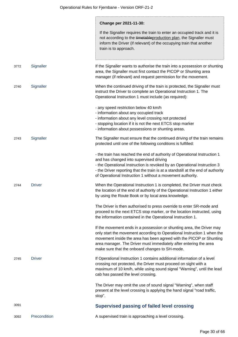|      |               | Change per 2021-11-30:                                                                                                                                                                                                                                                                                                                             |
|------|---------------|----------------------------------------------------------------------------------------------------------------------------------------------------------------------------------------------------------------------------------------------------------------------------------------------------------------------------------------------------|
|      |               | If the Signaller requires the train to enter an occupied track and it is<br>not according to the timetable production plan, the Signaller must<br>inform the Driver (if relevant) of the occupying train that another<br>train is to approach.                                                                                                     |
| 3772 | Signaller     | If the Signaller wants to authorise the train into a possession or shunting<br>area, the Signaller must first contact the PICOP or Shunting area<br>manager (if relevant) and request permission for the movement.                                                                                                                                 |
| 2740 | Signaller     | When the continued driving of the train is protected, the Signaller must<br>instruct the Driver to complete an Operational Instruction 1. The<br>Operational Instruction 1 must include (as required):                                                                                                                                             |
|      |               | - any speed restriction below 40 km/h<br>- information about any occupied track<br>- information about any level crossing not protected<br>- stopping location if it is not the next ETCS stop marker<br>- information about possessions or shunting areas.                                                                                        |
| 2743 | Signaller     | The Signaller must ensure that the continued driving of the train remains<br>protected until one of the following conditions is fulfilled:                                                                                                                                                                                                         |
|      |               | - the train has reached the end of authority of Operational Instruction 1<br>and has changed into supervised driving<br>- the Operational Instruction is revoked by an Operational Instruction 3<br>- the Driver reporting that the train is at a standstill at the end of authority<br>of Operational Instruction 1 without a movement authority. |
| 2744 | <b>Driver</b> | When the Operational Instruction 1 is completed, the Driver must check<br>the location of the end of authority of the Operational Instruction 1 either<br>by using the Route Book or by local area knowledge.                                                                                                                                      |
|      |               | The Driver is then authorised to press override to enter SR-mode and<br>proceed to the next ETCS stop marker, or the location instructed, using<br>the information contained in the Operational Instruction 1.                                                                                                                                     |
|      |               | If the movement ends in a possession or shunting area, the Driver may<br>only start the movement according to Operational Instruction 1 when the<br>movement inside the area has been agreed with the PICOP or Shunting<br>area manager. The Driver must immediately after entering the area<br>make sure that the onboard changes to SH-mode.     |
| 2745 | <b>Driver</b> | If Operational Instruction 1 contains additional information of a level<br>crossing not protected, the Driver must proceed on sight with a<br>maximum of 10 km/h, while using sound signal "Warning", until the lead<br>cab has passed the level crossing.                                                                                         |
|      |               | The Driver may omit the use of sound signal "Warning", when staff<br>present at the level crossing is applying the hand signal "road traffic,<br>stop".                                                                                                                                                                                            |
| 3091 |               | <b>Supervised passing of failed level crossing</b>                                                                                                                                                                                                                                                                                                 |
| 3092 | Precondition  | A supervised train is approaching a level crossing.                                                                                                                                                                                                                                                                                                |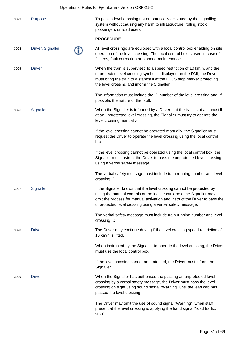|      | Operational Rules for Fjernbane - Version ORF-21-2 |  |                                                                                                                                                                                                                                                                                           |  |
|------|----------------------------------------------------|--|-------------------------------------------------------------------------------------------------------------------------------------------------------------------------------------------------------------------------------------------------------------------------------------------|--|
| 3093 | Purpose                                            |  | To pass a level crossing not automatically activated by the signalling<br>system without causing any harm to infrastructure, rolling stock,<br>passengers or road users.                                                                                                                  |  |
|      |                                                    |  | <b>PROCEDURE</b>                                                                                                                                                                                                                                                                          |  |
| 3094 | Driver, Signaller                                  |  | All level crossings are equipped with a local control box enabling on site<br>operation of the level crossing. The local control box is used in case of<br>failures, fault correction or planned maintenance.                                                                             |  |
| 3095 | <b>Driver</b>                                      |  | When the train is supervised to a speed restriction of 10 km/h, and the<br>unprotected level crossing symbol is displayed on the DMI, the Driver<br>must bring the train to a standstill at the ETCS stop marker protecting<br>the level crossing and inform the Signaller.               |  |
|      |                                                    |  | The information must include the ID number of the level crossing and, if<br>possible, the nature of the fault.                                                                                                                                                                            |  |
| 3096 | Signaller                                          |  | When the Signaller is informed by a Driver that the train is at a standstill<br>at an unprotected level crossing, the Signaller must try to operate the<br>level crossing manually.                                                                                                       |  |
|      |                                                    |  | If the level crossing cannot be operated manually, the Signaller must<br>request the Driver to operate the level crossing using the local control<br>box.                                                                                                                                 |  |
|      |                                                    |  | If the level crossing cannot be operated using the local control box, the<br>Signaller must instruct the Driver to pass the unprotected level crossing<br>using a verbal safety message.                                                                                                  |  |
|      |                                                    |  | The verbal safety message must include train running number and level<br>crossing ID.                                                                                                                                                                                                     |  |
| 3097 | Signaller                                          |  | If the Signaller knows that the level crossing cannot be protected by<br>using the manual controls or the local control box, the Signaller may<br>omit the process for manual activation and instruct the Driver to pass the<br>unprotected level crossing using a verbal safety message. |  |
|      |                                                    |  | The verbal safety message must include train running number and level<br>crossing ID.                                                                                                                                                                                                     |  |
| 3098 | <b>Driver</b>                                      |  | The Driver may continue driving if the level crossing speed restriction of<br>10 km/h is lifted.                                                                                                                                                                                          |  |
|      |                                                    |  | When instructed by the Signaller to operate the level crossing, the Driver<br>must use the local control box.                                                                                                                                                                             |  |
|      |                                                    |  | If the level crossing cannot be protected, the Driver must inform the<br>Signaller.                                                                                                                                                                                                       |  |
| 3099 | <b>Driver</b>                                      |  | When the Signaller has authorised the passing an unprotected level<br>crossing by a verbal safety message, the Driver must pass the level<br>crossing on sight using sound signal "Warning" until the lead cab has<br>passed the level crossing.                                          |  |
|      |                                                    |  | The Driver may omit the use of sound signal "Warning", when staff<br>present at the level crossing is applying the hand signal "road traffic,<br>stop".                                                                                                                                   |  |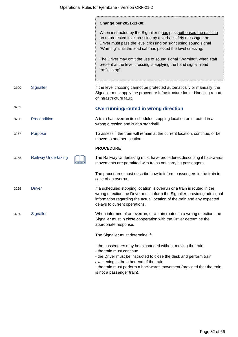|      |                            | Change per 2021-11-30:                                                                                                                                                                                                                                                                                            |
|------|----------------------------|-------------------------------------------------------------------------------------------------------------------------------------------------------------------------------------------------------------------------------------------------------------------------------------------------------------------|
|      |                            | When instructed by the Signaller tohas passauthorised the passing<br>an unprotected level crossing by a verbal safety message, the<br>Driver must pass the level crossing on sight using sound signal<br>"Warning" until the lead cab has passed the level crossing.                                              |
|      |                            | The Driver may omit the use of sound signal "Warning", when staff<br>present at the level crossing is applying the hand signal "road<br>traffic, stop".                                                                                                                                                           |
| 3100 | Signaller                  | If the level crossing cannot be protected automatically or manually, the<br>Signaller must apply the procedure Infrastructure fault - Handling report<br>of infrastructure fault.                                                                                                                                 |
| 3255 |                            | <b>Overrunning/routed in wrong direction</b>                                                                                                                                                                                                                                                                      |
| 3256 | Precondition               | A train has overrun its scheduled stopping location or is routed in a<br>wrong direction and is at a standstill.                                                                                                                                                                                                  |
| 3257 | Purpose                    | To assess if the train will remain at the current location, continue, or be<br>moved to another location.                                                                                                                                                                                                         |
|      |                            | <b>PROCEDURE</b>                                                                                                                                                                                                                                                                                                  |
| 3258 | <b>Railway Undertaking</b> | The Railway Undertaking must have procedures describing if backwards<br>movements are permitted with trains not carrying passengers.                                                                                                                                                                              |
|      |                            | The procedures must describe how to inform passengers in the train in<br>case of an overrun.                                                                                                                                                                                                                      |
| 3259 | <b>Driver</b>              | If a scheduled stopping location is overrun or a train is routed in the<br>wrong direction the Driver must inform the Signaller, providing additional<br>information regarding the actual location of the train and any expected<br>delays to current operations.                                                 |
| 3260 | Signaller                  | When informed of an overrun, or a train routed in a wrong direction, the<br>Signaller must in close cooperation with the Driver determine the<br>appropriate response.                                                                                                                                            |
|      |                            | The Signaller must determine if:                                                                                                                                                                                                                                                                                  |
|      |                            | - the passengers may be exchanged without moving the train<br>- the train must continue<br>- the Driver must be instructed to close the desk and perform train<br>awakening in the other end of the train<br>- the train must perform a backwards movement (provided that the train<br>is not a passenger train). |
|      |                            |                                                                                                                                                                                                                                                                                                                   |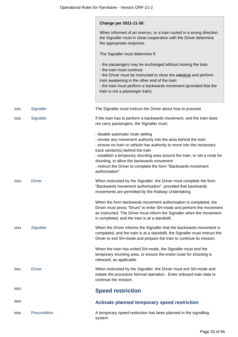|      |               | Change per 2021-11-30:                                                                                                                                                                                                                                                                                                                                                                                                            |
|------|---------------|-----------------------------------------------------------------------------------------------------------------------------------------------------------------------------------------------------------------------------------------------------------------------------------------------------------------------------------------------------------------------------------------------------------------------------------|
|      |               | When informed of an overrun, or a train routed in a wrong direction,<br>the Signaller must in close cooperation with the Driver determine<br>the appropriate response.                                                                                                                                                                                                                                                            |
|      |               | The Signaller must determine if:                                                                                                                                                                                                                                                                                                                                                                                                  |
|      |               | - the passengers may be exchanged without moving the train<br>- the train must continue<br>- the Driver must be instructed to close the eabdesk and perform<br>train awakening in the other end of the train<br>- the train must perform a backwards movement (provided that the<br>train is not a passenger train).                                                                                                              |
|      |               |                                                                                                                                                                                                                                                                                                                                                                                                                                   |
| 3261 | Signaller     | The Signaller must instruct the Driver about how to proceed.                                                                                                                                                                                                                                                                                                                                                                      |
| 3262 | Signaller     | If the train has to perform a backwards movement, and the train does<br>not carry passengers, the Signaller must:                                                                                                                                                                                                                                                                                                                 |
|      |               | - disable automatic route setting<br>- revoke any movement authority into the area behind the train<br>- ensure no train or vehicle has authority to move into the necessary<br>track section(s) behind the train<br>- establish a temporary shunting area around the train, or set a route for<br>shunting, to allow the backwards movement<br>- instruct the Driver to complete the form "Backwards movement<br>authorisation". |
| 3263 | <b>Driver</b> | When instructed by the Signaller, the Driver must complete the form<br>"Backwards movement authorisation", provided that backwards<br>movements are permitted by the Railway Undertaking.                                                                                                                                                                                                                                         |
|      |               | When the form backwards movement authorisation is completed, the<br>Driver must press "Shunt" to enter SH-mode and perform the movement<br>as instructed. The Driver must inform the Signaller when the movement<br>is completed, and the train is at a standstill.                                                                                                                                                               |
| 3264 | Signaller     | When the Driver informs the Signaller that the backwards movement is<br>completed, and the train is at a standstill, the Signaller must instruct the<br>Driver to exit SH-mode and prepare the train to continue its mission.                                                                                                                                                                                                     |
|      |               | When the train has exited SH-mode, the Signaller must end the<br>temporary shunting area, or ensure the entire route for shunting is<br>released, as applicable.                                                                                                                                                                                                                                                                  |
| 3561 | <b>Driver</b> | When instructed by the Signaller, the Driver must exit SH-mode and<br>initiate the procedure Normal operation - Enter onboard train data to<br>continue the mission.                                                                                                                                                                                                                                                              |
| 3563 |               | <b>Speed restriction</b>                                                                                                                                                                                                                                                                                                                                                                                                          |
| 3564 |               | Activate planned temporary speed restriction                                                                                                                                                                                                                                                                                                                                                                                      |
| 3565 | Precondition  | A temporary speed restriction has been planned in the signalling<br>system.                                                                                                                                                                                                                                                                                                                                                       |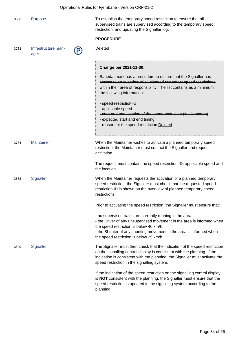| Operational Rules for Fjernbane - Version ORF-21-2 |                             |                                                                                                                                                                                                                                                                                                |  |
|----------------------------------------------------|-----------------------------|------------------------------------------------------------------------------------------------------------------------------------------------------------------------------------------------------------------------------------------------------------------------------------------------|--|
| 3566                                               | Purpose                     | To establish the temporary speed restriction to ensure that all<br>supervised trains are supervised according to the temporary speed<br>restriction, and updating the Signaller log.                                                                                                           |  |
|                                                    |                             | <b>PROCEDURE</b>                                                                                                                                                                                                                                                                               |  |
| 3783                                               | Infrastructure man-<br>ager | Deleted                                                                                                                                                                                                                                                                                        |  |
|                                                    |                             | Change per 2021-11-30:                                                                                                                                                                                                                                                                         |  |
|                                                    |                             | Banedanmark has a procedure to ensure that the Signaller has<br>access to an overview of all planned temporary speed restrictions<br>within their area of responsibility. The list contains as a minimum<br>the following information:                                                         |  |
|                                                    |                             | -speed restriction ID<br>-applicable speed<br>-start and end location of the speed restriction (in kilometres)<br>- expected start and end timing<br>-reason for the speed restriction. Deleted                                                                                                |  |
| 3784                                               | Maintainer                  | When the Maintainer wishes to activate a planned temporary speed<br>restriction, the Maintainer must contact the Signaller and request<br>activation.                                                                                                                                          |  |
|                                                    |                             | The request must contain the speed restriction ID, applicable speed and<br>the location.                                                                                                                                                                                                       |  |
| 3568                                               | Signaller                   | When the Maintainer requests the activation of a planned temporary<br>speed restriction, the Signaller must check that the requested speed<br>restriction ID is shown on the overview of planned temporary speed<br>restrictions.                                                              |  |
|                                                    |                             | Prior to activating the speed restriction, the Signaller must ensure that:                                                                                                                                                                                                                     |  |
|                                                    |                             | - no supervised trains are currently running in the area<br>- the Driver of any unsupervised movement in the area is informed when<br>the speed restriction is below 40 km/h<br>- the Shunter of any shunting movement in the area is informed when<br>the speed restriction is below 25 km/h. |  |
| 3840                                               | Signaller                   | The Signaller must then check that the indication of the speed restriction<br>on the signalling control display is consistent with the planning. If the<br>indication is consistent with the planning, the Signaller must activate the<br>speed restriction in the signalling system.          |  |
|                                                    |                             | If the indication of the speed restriction on the signalling control display<br>is NOT consistent with the planning, the Signaller must ensure that the<br>speed restriction is updated in the signalling system according to the<br>planning.                                                 |  |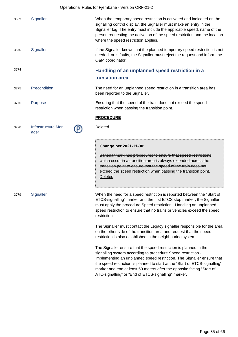|      | Operational Rules for Fjernbane - Version ORF-21-2 |                                                                                                                                                                                                                                                                                                                                                                                                                            |  |  |
|------|----------------------------------------------------|----------------------------------------------------------------------------------------------------------------------------------------------------------------------------------------------------------------------------------------------------------------------------------------------------------------------------------------------------------------------------------------------------------------------------|--|--|
| 3569 | Signaller                                          | When the temporary speed restriction is activated and indicated on the<br>signalling control display, the Signaller must make an entry in the<br>Signaller log. The entry must include the applicable speed, name of the<br>person requesting the activation of the speed restriction and the location<br>where the speed restriction applies.                                                                             |  |  |
| 3570 | Signaller                                          | If the Signaller knows that the planned temporary speed restriction is not<br>needed, or is faulty, the Signaller must reject the request and inform the<br>O&M coordinator.                                                                                                                                                                                                                                               |  |  |
| 3774 |                                                    | Handling of an unplanned speed restriction in a<br>transition area                                                                                                                                                                                                                                                                                                                                                         |  |  |
| 3775 | Precondition                                       | The need for an unplanned speed restriction in a transition area has<br>been reported to the Signaller.                                                                                                                                                                                                                                                                                                                    |  |  |
| 3776 | <b>Purpose</b>                                     | Ensuring that the speed of the train does not exceed the speed<br>restriction when passing the transition point.                                                                                                                                                                                                                                                                                                           |  |  |
|      |                                                    | <b>PROCEDURE</b>                                                                                                                                                                                                                                                                                                                                                                                                           |  |  |
| 3778 | Infrastructure Man-<br>ager                        | Deleted                                                                                                                                                                                                                                                                                                                                                                                                                    |  |  |
|      |                                                    | Change per 2021-11-30:<br>Banedanmark has procedures to ensure that speed restrictions<br>which occur in a transition area is always extended across the<br>transition point to ensure that the speed of the train does not<br>exceed the speed restriction when passing the transition point.<br><b>Deleted</b>                                                                                                           |  |  |
| 3779 | Signaller                                          | When the need for a speed restriction is reported between the "Start of<br>ETCS-signalling" marker and the first ETCS stop marker, the Signaller<br>must apply the procedure Speed restriction - Handling an unplanned<br>speed restriction to ensure that no trains or vehicles exceed the speed<br>restriction.                                                                                                          |  |  |
|      |                                                    | The Signaller must contact the Legacy signaller responsible for the area<br>on the other side of the transition area and request that the speed<br>restriction is also established in the neighbouring system.                                                                                                                                                                                                             |  |  |
|      |                                                    | The Signaller ensure that the speed restriction is planned in the<br>signalling system according to procedure Speed restriction -<br>Implementing an unplanned speed restriction. The Signaller ensure that<br>the speed restriction is planned to start at the "Start of ETCS-signalling"<br>marker and end at least 50 meters after the opposite facing "Start of<br>ATC-signalling" or "End of ETCS-signalling" marker. |  |  |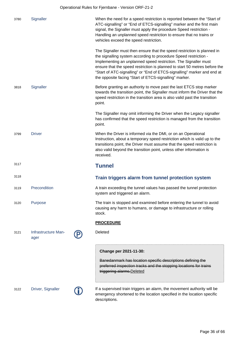| 3780 | Signaller                   | When the need for a speed restriction is reported between the "Start of<br>ATC-signalling" or "End of ETCS-signalling" marker and the first main<br>signal, the Signaller must apply the procedure Speed restriction -<br>Handling an unplanned speed restriction to ensure that no trains or<br>vehicles exceed the speed restriction.                                                                                           |
|------|-----------------------------|-----------------------------------------------------------------------------------------------------------------------------------------------------------------------------------------------------------------------------------------------------------------------------------------------------------------------------------------------------------------------------------------------------------------------------------|
|      |                             | The Signaller must then ensure that the speed restriction is planned in<br>the signalling system according to procedure Speed restriction -<br>Implementing an unplanned speed restriction. The Signaller must<br>ensure that the speed restriction is planned to start 50 metres before the<br>"Start of ATC-signalling" or "End of ETCS-signalling" marker and end at<br>the opposite facing "Start of ETCS-signalling" marker. |
| 3818 | Signaller                   | Before granting an authority to move past the last ETCS stop marker<br>towards the transition point, the Signaller must inform the Driver that the<br>speed restriction in the transition area is also valid past the transition<br>point.                                                                                                                                                                                        |
|      |                             | The Signaller may omit informing the Driver when the Legacy signaller<br>has confirmed that the speed restriction is managed from the transition<br>point.                                                                                                                                                                                                                                                                        |
| 3799 | <b>Driver</b>               | When the Driver is informed via the DMI, or on an Operational<br>Instruction, about a temporary speed restriction which is valid up to the<br>transitions point, the Driver must assume that the speed restriction is<br>also valid beyond the transition point, unless other information is<br>received.                                                                                                                         |
| 3117 |                             | <b>Tunnel</b>                                                                                                                                                                                                                                                                                                                                                                                                                     |
| 3118 |                             | Train triggers alarm from tunnel protection system                                                                                                                                                                                                                                                                                                                                                                                |
| 3119 | Precondition                | A train exceeding the tunnel values has passed the tunnel protection<br>system and triggered an alarm.                                                                                                                                                                                                                                                                                                                            |
| 3120 | Purpose                     | The train is stopped and examined before entering the tunnel to avoid<br>causing any harm to humans, or damage to infrastructure or rolling<br>stock.                                                                                                                                                                                                                                                                             |
|      |                             | <b>PROCEDURE</b>                                                                                                                                                                                                                                                                                                                                                                                                                  |
| 3121 | Infrastructure Man-<br>ager | Deleted                                                                                                                                                                                                                                                                                                                                                                                                                           |
|      |                             | Change per 2021-11-30:<br>Banedanmark has location specific descriptions defining the<br>preferred inspection tracks and the stopping locations for trains<br>triggering alarms. Deleted                                                                                                                                                                                                                                          |

3122 Driver, Signaller If a supervised train triggers an alarm, the movement authority will be<br>
emergency shortened to the location specified in the location specific emergency shortened to the location specified in the location specific descriptions.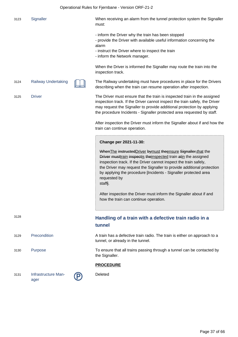| 3123 | Signal |
|------|--------|
|      |        |

1123 Iler Signaller When receiving an alarm from the tunnel protection system the Signaller must:

- inform the Driver why the train has been stopped

- provide the Driver with available useful information concerning the alarm

- instruct the Driver where to inspect the train
- inform the Network manager.

When the Driver is informed the Signaller may route the train into the inspection track.

3124 Railway Undertaking The Railway undertaking must have procedures in place for the Drivers describing when the train can resume operation after inspection.

3125 Driver The Driver must ensure that the train is inspected train in the assigned inspection track. If the Driver cannot inspect the train safely, the Driver may request the Signaller to provide additional protection by applying the procedure Incidents - Signaller protected area requested by staff.

> After inspection the Driver must inform the Signaller about if and how the train can continue operation.

#### **Change per 2021-11-30:**

When The instructed Driver by must the ensure Signaller, that the Driver musttrain inspectis the inspected train at in the assigned inspection track. If the Driver cannot inspect the train safely, the Driver may request the Signaller to provide additional protection by applying the procedure [Incidents - Signaller protected area requested by staff].

After inspection the Driver must inform the Signaller about if and how the train can continue operation.

## <sup>3128</sup> **Handling of a train with a defective train radio in a tunnel**

3129 Precondition A train has a defective train radio. The train is either on approach to a tunnel, or already in the tunnel.

3130 Purpose To ensure that all trains passing through a tunnel can be contacted by the Signaller.

#### **PROCEDURE**

Deleted

ager

- 
- 



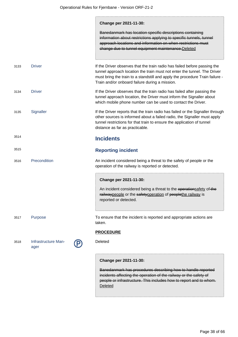|      |                             | Change per 2021-11-30:<br>Banedanmark has location specific descriptions containing<br>information about restrictions applying to specific tunnels, tunnel<br>approach locations and information on when restrictions must<br>change due to tunnel equipment maintenance. Deleted       |
|------|-----------------------------|-----------------------------------------------------------------------------------------------------------------------------------------------------------------------------------------------------------------------------------------------------------------------------------------|
| 3133 | <b>Driver</b>               | If the Driver observes that the train radio has failed before passing the<br>tunnel approach location the train must not enter the tunnel. The Driver<br>must bring the train to a standstill and apply the procedure Train failure -<br>Train and/or onboard failure during a mission. |
| 3134 | <b>Driver</b>               | If the Driver observes that the train radio has failed after passing the<br>tunnel approach location, the Driver must inform the Signaller about<br>which mobile phone number can be used to contact the Driver.                                                                        |
| 3135 | Signaller                   | If the Driver reports that the train radio has failed or the Signaller through<br>other sources is informed about a failed radio, the Signaller must apply<br>tunnel restrictions for that train to ensure the application of tunnel<br>distance as far as practicable.                 |
| 3514 |                             | <b>Incidents</b>                                                                                                                                                                                                                                                                        |
| 3515 |                             | <b>Reporting incident</b>                                                                                                                                                                                                                                                               |
| 3516 | Precondition                | An incident considered being a threat to the safety of people or the<br>operation of the railway is reported or detected.                                                                                                                                                               |
|      |                             | Change per 2021-11-30:<br>An incident considered being a threat to the operations afety of the<br>railwaypeople or the safetyoperation of peoplethe railway is<br>reported or detected.                                                                                                 |
| 3517 | Purpose                     | To ensure that the incident is reported and appropriate actions are<br>taken.                                                                                                                                                                                                           |
|      |                             | <b>PROCEDURE</b>                                                                                                                                                                                                                                                                        |
| 3518 | Infrastructure Man-<br>ager | Deleted                                                                                                                                                                                                                                                                                 |
|      |                             | Change per 2021-11-30:<br>Banedanmark has procedures describing how to handle reported<br>incidents affecting the operation of the railway or the safety of<br>people or infrastructure. This includes how to report and to whom.<br>Deleted                                            |

÷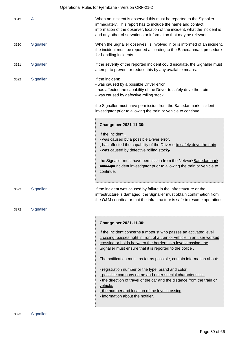|      |           | Operational Rules for Fjernbane - Version ORF-21-2                                                                                                                                                                                                                                                                                                                     |
|------|-----------|------------------------------------------------------------------------------------------------------------------------------------------------------------------------------------------------------------------------------------------------------------------------------------------------------------------------------------------------------------------------|
| 3519 | All       | When an incident is observed this must be reported to the Signaller<br>immediately. This report has to include the name and contact<br>information of the observer, location of the incident, what the incident is<br>and any other observations or information that may be relevant.                                                                                  |
| 3520 | Signaller | When the Signaller observes, is involved in or is informed of an incident,<br>the incident must be reported according to the Banedanmark procedure<br>for handling incidents.                                                                                                                                                                                          |
| 3521 | Signaller | If the severity of the reported incident could escalate, the Signaller must<br>attempt to prevent or reduce this by any available means.                                                                                                                                                                                                                               |
| 3522 | Signaller | If the incident:<br>- was caused by a possible Driver error<br>- has affected the capability of the Driver to safely drive the train<br>- was caused by defective rolling stock                                                                                                                                                                                        |
|      |           | the Signaller must have permission from the Banedanmark incident<br>investigator prior to allowing the train or vehicle to continue.                                                                                                                                                                                                                                   |
|      |           | Change per 2021-11-30:<br>If the incident:<br>- was caused by a possible Driver error,<br>- has affected the capability of the Driver erto safely drive the train<br>- was caused by defective rolling stock-<br>the Signaller must have permission from the NetworkBanedanmark<br>managerincident investigator prior to allowing the train or vehicle to<br>continue. |
| 3523 | Signaller | If the incident was caused by failure in the infrastructure or the<br>infrastructure is damaged, the Signaller must obtain confirmation from<br>the O&M coordinator that the infrastructure is safe to resume operations.                                                                                                                                              |
| 3872 | Signaller |                                                                                                                                                                                                                                                                                                                                                                        |
|      |           | Change per 2021-11-30:                                                                                                                                                                                                                                                                                                                                                 |
|      |           | If the incident concerns a motorist who passes an activated level<br>crossing, passes right in front of a train or vehicle in an user worked<br>crossing or holds between the barriers in a level crossing, the<br>Signaller must ensure that it is reported to the police.<br>The notification must, as far as possible, contain information about:                   |
|      |           | - registration number or the type, brand and color,                                                                                                                                                                                                                                                                                                                    |
|      |           | - possible company name and other special characteristics.<br>- the direction of travel of the car and the distance from the train or                                                                                                                                                                                                                                  |
|      |           | vehicle,                                                                                                                                                                                                                                                                                                                                                               |
|      |           | - the number and location of the level crossing<br>- information about the notifier.                                                                                                                                                                                                                                                                                   |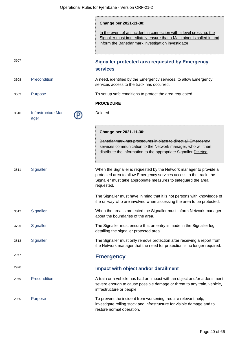**Change per 2021-11-30:**

In the event of an incident in connection with a level crossing, the Signaller must immediately ensure that a Maintainer is called in and inform the Banedanmark investigation investigator.

<sup>3507</sup> **Signaller protected area requested by Emergency services** 3508 Precondition A need, identified by the Emergency services, to allow Emergency services access to the track has occurred. 3509 Purpose To set up safe conditions to protect the area requested. **PROCEDURE** 3510 Infrastructure Manager **Deleted Change per 2021-11-30:** Banedanmark has procedures in place to direct all Emergency services communication to the Network manager, who will then distribute the information to the appropriate Signaller.Deleted 3511 Signaller When the Signaller is requested by the Network manager to provide a protected area to allow Emergency services access to the track, the Signaller must take appropriate measures to safeguard the area requested. The Signaller must have in mind that it is not persons with knowledge of the railway who are involved when assessing the area to be protected. 3512 Signaller When the area is protected the Signaller must inform Network manager about the boundaries of the area. 3796 Signaller The Signaller must ensure that an entry is made in the Signaller log detailing the signaller protected area. 3513 Signaller The Signaller must only remove protection after receiving a report from the Network manager that the need for protection is no longer required. <sup>2977</sup> **Emergency** <sup>2978</sup> **Impact with object and/or derailment** 2979 Precondition A train or a vehicle has had an impact with an object and/or a derailment severe enough to cause possible damage or threat to any train, vehicle, infrastructure or people. 2980 Purpose To prevent the incident from worsening, require relevant help, investigate rolling stock and infrastructure for visible damage and to restore normal operation.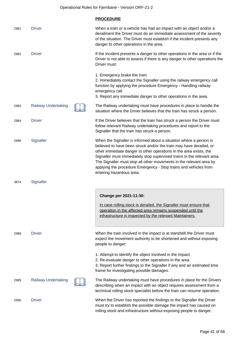Operational Rules for Fjernbane - Version ORF-21-2

|      |                            | <b>PROCEDURE</b>                                                                                                                                                                                                                                                                                                                                                                                                                                                  |
|------|----------------------------|-------------------------------------------------------------------------------------------------------------------------------------------------------------------------------------------------------------------------------------------------------------------------------------------------------------------------------------------------------------------------------------------------------------------------------------------------------------------|
| 2981 | <b>Driver</b>              | When a train or a vehicle has had an impact with an object and/or a<br>derailment the Driver must do an immediate assessment of the severity<br>of the situation. The Driver must establish if the incident presents any<br>danger to other operations in the area.                                                                                                                                                                                               |
| 2982 | <b>Driver</b>              | If the incident presents a danger to other operations in the area or if the<br>Driver is not able to assess if there is any danger to other operations the<br>Driver must:                                                                                                                                                                                                                                                                                        |
|      |                            | 1. Emergency brake the train<br>2. Immediately contact the Signaller using the railway emergency call<br>function by applying the procedure Emergency - Handling railway<br>emergency call<br>3. Report any immediate danger to other operations in the area.                                                                                                                                                                                                     |
| 2983 | <b>Railway Undertaking</b> | The Railway undertaking must have procedures in place to handle the<br>situation where the Driver believes that the train has struck a person.                                                                                                                                                                                                                                                                                                                    |
| 2984 | <b>Driver</b>              | If the Driver believes that the train has struck a person the Driver must<br>follow relevant Railway undertaking procedures and report to the<br>Signaller that the train has struck a person.                                                                                                                                                                                                                                                                    |
| 2986 | Signaller                  | When the Signaller is informed about a situation where a person is<br>believed to have been struck and/or the train may have derailed, or<br>other immediate danger to other operations in the area exists, the<br>Signaller must immediately stop supervised trains in the relevant area.<br>The Signaller must stop all other movements in the relevant area by<br>applying the procedure Emergency - Stop trains and vehicles from<br>entering hazardous area. |
| 3874 | Signaller                  |                                                                                                                                                                                                                                                                                                                                                                                                                                                                   |
|      |                            | Change per 2021-11-30:<br>In case rolling stock is derailed, the Signaller must ensure that<br>operation in the affected area remains suspended until the<br>infrastructure is inspected by the relevant Maintainers.                                                                                                                                                                                                                                             |
| 2988 | <b>Driver</b>              | When the train involved in the impact is at standstill the Driver must<br>expect the movement authority to be shortened and without exposing<br>people to danger:                                                                                                                                                                                                                                                                                                 |
|      |                            | 1. Attempt to identify the object involved in the impact<br>2. Re-evaluate danger to other operations in the area<br>3. Report further findings to the Signaller if any and an estimated time<br>frame for investigating possible damages.                                                                                                                                                                                                                        |
| 2989 | <b>Railway Undertaking</b> | The Railway undertaking must have procedures in place for the Drivers<br>describing when an impact with an object requires assessment from a<br>technical rolling stock specialist before the train can resume operation.                                                                                                                                                                                                                                         |
| 2990 | <b>Driver</b>              | When the Driver has reported the findings to the Signaller the Driver<br>must try to establish the possible damage the impact has caused on<br>rolling stock and infrastructure without exposing people to danger.                                                                                                                                                                                                                                                |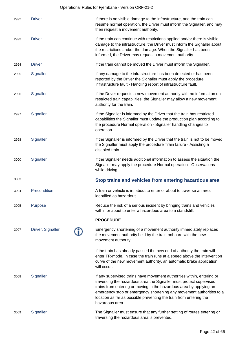## Operational Rules for Fjernbane - Version ORF-21-2

| 2992 | <b>Driver</b>     | If there is no visible damage to the infrastructure, and the train can<br>resume normal operation, the Driver must inform the Signaller, and may<br>then request a movement authority.                                                                                                                                                                                                |
|------|-------------------|---------------------------------------------------------------------------------------------------------------------------------------------------------------------------------------------------------------------------------------------------------------------------------------------------------------------------------------------------------------------------------------|
| 2993 | <b>Driver</b>     | If the train can continue with restrictions applied and/or there is visible<br>damage to the infrastructure, the Driver must inform the Signaller about<br>the restrictions and/or the damage. When the Signaller has been<br>informed, the Driver may request a movement authority.                                                                                                  |
| 2994 | <b>Driver</b>     | If the train cannot be moved the Driver must inform the Signaller.                                                                                                                                                                                                                                                                                                                    |
| 2995 | Signaller         | If any damage to the infrastructure has been detected or has been<br>reported by the Driver the Signaller must apply the procedure<br>Infrastructure fault - Handling report of infrastructure fault.                                                                                                                                                                                 |
| 2996 | Signaller         | If the Driver requests a new movement authority with no information on<br>restricted train capabilities, the Signaller may allow a new movement<br>authority for the train.                                                                                                                                                                                                           |
| 2997 | Signaller         | If the Signaller is informed by the Driver that the train has restricted<br>capabilities the Signaller must update the production plan according to<br>the procedure Normal operation - Signaller handling changes to<br>operation.                                                                                                                                                   |
| 2998 | Signaller         | If the Signaller is informed by the Driver that the train is not to be moved<br>the Signaller must apply the procedure Train failure - Assisting a<br>disabled train.                                                                                                                                                                                                                 |
| 3000 | Signaller         | If the Signaller needs additional information to assess the situation the<br>Signaller may apply the procedure Normal operation - Observations<br>while driving.                                                                                                                                                                                                                      |
| 3003 |                   | Stop trains and vehicles from entering hazardous area                                                                                                                                                                                                                                                                                                                                 |
| 3004 | Precondition      | A train or vehicle is in, about to enter or about to traverse an area<br>identified as hazardous.                                                                                                                                                                                                                                                                                     |
| 3005 | Purpose           | Reduce the risk of a serious incident by bringing trains and vehicles<br>within or about to enter a hazardous area to a standstill.                                                                                                                                                                                                                                                   |
|      |                   | <b>PROCEDURE</b>                                                                                                                                                                                                                                                                                                                                                                      |
| 3007 | Driver, Signaller | Emergency shortening of a movement authority immediately replaces<br>the movement authority held by the train onboard with the new<br>movement authority:                                                                                                                                                                                                                             |
|      |                   | If the train has already passed the new end of authority the train will<br>enter TR-mode. In case the train runs at a speed above the intervention<br>curve of the new movement authority, an automatic brake application<br>will occur.                                                                                                                                              |
| 3008 | Signaller         | If any supervised trains have movement authorities within, entering or<br>traversing the hazardous area the Signaller must protect supervised<br>trains from entering or moving in the hazardous area by applying an<br>emergency stop or emergency shortening any movement authorities to a<br>location as far as possible preventing the train from entering the<br>hazardous area. |
| 3009 | Signaller         | The Signaller must ensure that any further setting of routes entering or<br>traversing the hazardous area is prevented.                                                                                                                                                                                                                                                               |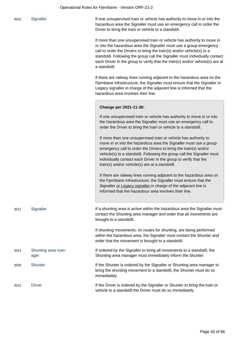| 3010 | Signaller                  | If one unsupervised train or vehicle has authority to move in or into the<br>hazardous area the Signaller must use an emergency call to order the<br>Driver to bring the train or vehicle to a standstill.                                                                                                                                                                                                 |
|------|----------------------------|------------------------------------------------------------------------------------------------------------------------------------------------------------------------------------------------------------------------------------------------------------------------------------------------------------------------------------------------------------------------------------------------------------|
|      |                            | If more than one unsupervised train or vehicle has authority to move in<br>or into the hazardous area the Signaller must use a group emergency<br>call to order the Drivers to bring the train(s) and/or vehicle(s) to a<br>standstill. Following the group call the Signaller must individually contact<br>each Driver in the group to verify that the train(s) and/or vehicle(s) are at<br>a standstill. |
|      |                            | If there are railway lines running adjacent to the hazardous area on the<br>Fjernbane infrastructure, the Signaller must ensure that the Signaller or<br>Legacy signaller in charge of the adjacent line is informed that the<br>hazardous area involves their line.                                                                                                                                       |
|      |                            | Change per 2021-11-30:                                                                                                                                                                                                                                                                                                                                                                                     |
|      |                            | If one unsupervised train or vehicle has authority to move in or into<br>the hazardous area the Signaller must use an emergency call to<br>order the Driver to bring the train or vehicle to a standstill.                                                                                                                                                                                                 |
|      |                            | If more than one unsupervised train or vehicle has authority to<br>move in or into the hazardous area the Signaller must use a group<br>emergency call to order the Drivers to bring the train(s) and/or<br>vehicle(s) to a standstill. Following the group call the Signaller must<br>individually contact each Driver in the group to verify that the<br>train(s) and/or vehicle(s) are at a standstill. |
|      |                            | If there are railway lines running adjacent to the hazardous area on<br>the Fjernbane infrastructure, the Signaller must ensure that the<br>Signaller or Legacy signaller in charge of the adjacent line is<br>informed that the hazardous area involves their line.                                                                                                                                       |
| 3011 | Signaller                  | If a shunting area is active within the hazardous area the Signaller must<br>contact the Shunting area manager and order that all movements are<br>brought to a standstill.                                                                                                                                                                                                                                |
|      |                            | If shunting movements, on routes for shunting, are being performed<br>within the hazardous area, the Signaller must contact the Shunter and<br>order that the movement is brought to a standstill.                                                                                                                                                                                                         |
| 3013 | Shunting area man-<br>ager | If ordered by the Signaller to bring all movements to a standstill, the<br>Shunting area manager must immediately inform the Shunter.                                                                                                                                                                                                                                                                      |
| 3558 | <b>Shunter</b>             | If the Shunter is ordered by the Signaller or Shunting area manager to<br>bring the shunting movement to a standstill, the Shunter must do so<br>immediately.                                                                                                                                                                                                                                              |
| 3012 | <b>Driver</b>              | If the Driver is ordered by the Signaller or Shunter to bring the train or<br>vehicle to a standstill the Driver must do so immediately.                                                                                                                                                                                                                                                                   |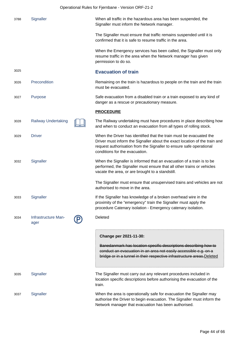|      |                             | Operational Rules for Fjernbane - Version ORF-21-2 |                                                                                                                                                                                                                                                            |
|------|-----------------------------|----------------------------------------------------|------------------------------------------------------------------------------------------------------------------------------------------------------------------------------------------------------------------------------------------------------------|
| 3788 | Signaller                   |                                                    | When all traffic in the hazardous area has been suspended, the<br>Signaller must inform the Network manager.                                                                                                                                               |
|      |                             |                                                    | The Signaller must ensure that traffic remains suspended until it is<br>confirmed that it is safe to resume traffic in the area.                                                                                                                           |
|      |                             |                                                    | When the Emergency services has been called, the Signaller must only<br>resume traffic in the area when the Network manager has given<br>permission to do so.                                                                                              |
| 3025 |                             |                                                    | <b>Evacuation of train</b>                                                                                                                                                                                                                                 |
| 3026 | Precondition                |                                                    | Remaining on the train is hazardous to people on the train and the train<br>must be evacuated.                                                                                                                                                             |
| 3027 | Purpose                     |                                                    | Safe evacuation from a disabled train or a train exposed to any kind of<br>danger as a rescue or precautionary measure.                                                                                                                                    |
|      |                             |                                                    | <b>PROCEDURE</b>                                                                                                                                                                                                                                           |
| 3028 | <b>Railway Undertaking</b>  |                                                    | The Railway undertaking must have procedures in place describing how<br>and when to conduct an evacuation from all types of rolling stock.                                                                                                                 |
| 3029 | <b>Driver</b>               |                                                    | When the Driver has identified that the train must be evacuated the<br>Driver must inform the Signaller about the exact location of the train and<br>request authorisation from the Signaller to ensure safe operational<br>conditions for the evacuation. |
| 3032 | Signaller                   |                                                    | When the Signaller is informed that an evacuation of a train is to be<br>performed, the Signaller must ensure that all other trains or vehicles<br>vacate the area, or are brought to a standstill.                                                        |
|      |                             |                                                    | The Signaller must ensure that unsupervised trains and vehicles are not<br>authorised to move in the area.                                                                                                                                                 |
| 3033 | Signaller                   |                                                    | If the Signaller has knowledge of a broken overhead wire in the<br>proximity of the "emergency" train the Signaller must apply the<br>procedure Catenary isolation - Emergency catenary isolation.                                                         |
| 3034 | Infrastructure Man-<br>ager |                                                    | Deleted                                                                                                                                                                                                                                                    |
|      |                             |                                                    | Change per 2021-11-30:                                                                                                                                                                                                                                     |
|      |                             |                                                    | Banedanmark has location specific descriptions describing how to<br>conduct an evacuation in an area not easily accessible e.g. on a<br>bridge or in a tunnel in their respective infrastructure areas. Deleted                                            |
| 3035 | Signaller                   |                                                    | The Signaller must carry out any relevant procedures included in<br>location specific descriptions before authorising the evacuation of the<br>train.                                                                                                      |
| 3037 | Signaller                   |                                                    | When the area is operationally safe for evacuation the Signaller may<br>authorise the Driver to begin evacuation. The Signaller must inform the<br>Network manager that evacuation has been authorised.                                                    |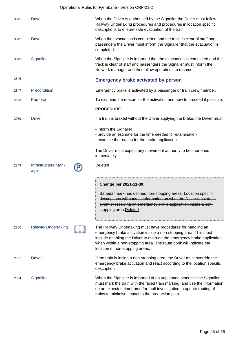|      | Operational Rules for Fjernbane - Version ORF-21-2 |                                                                                                                                                                                                                                                                                                                     |  |  |
|------|----------------------------------------------------|---------------------------------------------------------------------------------------------------------------------------------------------------------------------------------------------------------------------------------------------------------------------------------------------------------------------|--|--|
| 3041 | <b>Driver</b>                                      | When the Driver is authorised by the Signaller the Driver must follow<br>Railway Undertaking procedures and procedures in location specific<br>descriptions to ensure safe evacuation of the train.                                                                                                                 |  |  |
| 3042 | <b>Driver</b>                                      | When the evacuation is completed and the track is clear of staff and<br>passengers the Driver must inform the Signaller that the evacuation is<br>completed.                                                                                                                                                        |  |  |
| 3043 | Signaller                                          | When the Signaller is informed that the evacuation is completed and the<br>track is clear of staff and passengers the Signaller must inform the<br>Network manager and then allow operations to resume.                                                                                                             |  |  |
| 2846 |                                                    | <b>Emergency brake activated by person</b>                                                                                                                                                                                                                                                                          |  |  |
| 2847 | Precondition                                       | Emergency brake is activated by a passenger or train crew member.                                                                                                                                                                                                                                                   |  |  |
| 2848 | Purpose                                            | To examine the reason for the activation and how to proceed if possible.                                                                                                                                                                                                                                            |  |  |
|      |                                                    | <b>PROCEDURE</b>                                                                                                                                                                                                                                                                                                    |  |  |
| 3089 | <b>Driver</b>                                      | If a train is braked without the Driver applying the brake, the Driver must:                                                                                                                                                                                                                                        |  |  |
|      |                                                    | - inform the Signaller<br>- provide an estimate for the time needed for examination<br>- examine the reason for the brake application.                                                                                                                                                                              |  |  |
|      |                                                    | The Driver must expect any movement authority to be shortened<br>immediately.                                                                                                                                                                                                                                       |  |  |
| 2849 | Infrastructure Man-<br>ager                        | Deleted                                                                                                                                                                                                                                                                                                             |  |  |
|      |                                                    | Change per 2021-11-30:<br>Banedanmark has defined non-stopping areas. Location specific<br>descriptions will contain information on what the Driver must do in<br>event of receiving an emergency brake application inside a non-<br>stopping area-Deleted                                                          |  |  |
| 2850 | <b>Railway Undertaking</b>                         | The Railway Undertaking must have procedures for handling an<br>emergency brake activation inside a non-stopping area. This must<br>include enabling the Driver to override the emergency brake application<br>when within a non-stopping area. The route book will indicate the<br>location of non-stopping areas. |  |  |
| 2851 | <b>Driver</b>                                      | If the train is inside a non-stopping area, the Driver must override the<br>emergency brake activation and react according to the location specific<br>description.                                                                                                                                                 |  |  |
| 2854 | Signaller                                          | When the Signaller is informed of an unplanned standstill the Signaller<br>must mark the train with the failed train marking, and use the information<br>on an expected timeframe for fault investigation to update routing of<br>trains to minimise impact to the production plan.                                 |  |  |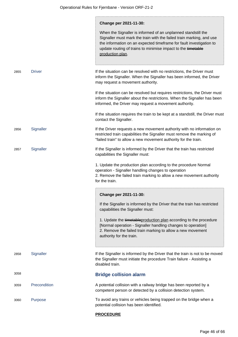|      |               | Change per 2021-11-30:<br>When the Signaller is informed of an unplanned standstill the<br>Signaller must mark the train with the failed train marking, and use<br>the information on an expected timeframe for fault investigation to<br>update routing of trains to minimise impact to the timetable<br>production plan. |
|------|---------------|----------------------------------------------------------------------------------------------------------------------------------------------------------------------------------------------------------------------------------------------------------------------------------------------------------------------------|
| 2855 | <b>Driver</b> | If the situation can be resolved with no restrictions, the Driver must<br>inform the Signaller. When the Signaller has been informed, the Driver<br>may request a movement authority.                                                                                                                                      |
|      |               | If the situation can be resolved but requires restrictions, the Driver must<br>inform the Signaller about the restrictions. When the Signaller has been<br>informed, the Driver may request a movement authority.                                                                                                          |
|      |               | If the situation requires the train to be kept at a standstill, the Driver must<br>contact the Signaller.                                                                                                                                                                                                                  |
| 2856 | Signaller     | If the Driver requests a new movement authority with no information on<br>restricted train capabilities the Signaller must remove the marking of<br>"failed train" to allow a new movement authority for the train.                                                                                                        |
| 2857 | Signaller     | If the Signaller is informed by the Driver that the train has restricted<br>capabilities the Signaller must:                                                                                                                                                                                                               |
|      |               | 1. Update the production plan according to the procedure Normal<br>operation - Signaller handling changes to operation<br>2. Remove the failed train marking to allow a new movement authority<br>for the train.                                                                                                           |
|      |               | Change per 2021-11-30:                                                                                                                                                                                                                                                                                                     |
|      |               | If the Signaller is informed by the Driver that the train has restricted<br>capabilities the Signaller must:                                                                                                                                                                                                               |
|      |               | 1. Update the timetable production plan according to the procedure<br>[Normal operation - Signaller handling changes to operation]<br>2. Remove the failed train marking to allow a new movement<br>authority for the train.                                                                                               |
| 2858 | Signaller     | If the Signaller is informed by the Driver that the train is not to be moved<br>the Signaller must initiate the procedure Train failure - Assisting a<br>disabled train.                                                                                                                                                   |
| 3058 |               | <b>Bridge collision alarm</b>                                                                                                                                                                                                                                                                                              |
| 3059 | Precondition  | A potential collision with a railway bridge has been reported by a<br>competent person or detected by a collision detection system.                                                                                                                                                                                        |
| 3060 | Purpose       | To avoid any trains or vehicles being trapped on the bridge when a<br>potential collision has been identified.                                                                                                                                                                                                             |
|      |               |                                                                                                                                                                                                                                                                                                                            |

## **PROCEDURE**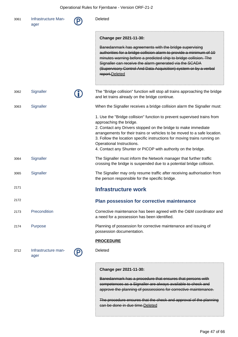| 3061 | Infrastructure Man-<br>ager | Deleted                                                                                                                                                                                                                                                                                                                                            |
|------|-----------------------------|----------------------------------------------------------------------------------------------------------------------------------------------------------------------------------------------------------------------------------------------------------------------------------------------------------------------------------------------------|
|      |                             | Change per 2021-11-30:                                                                                                                                                                                                                                                                                                                             |
|      |                             | Banedanmark has agreements with the bridge supervising<br>authorities for a bridge collision alarm to provide a minimum of 10<br>minutes warning before a predicted ship to bridge collision. The<br>Signaller can receive the alarm generated via the SCADA<br>(Supervisory Control And Data Acquisition) system or by a verbal<br>report.Deleted |
| 3062 | Signaller                   | The "Bridge collision" function will stop all trains approaching the bridge<br>and let trains already on the bridge continue.                                                                                                                                                                                                                      |
| 3063 | Signaller                   | When the Signaller receives a bridge collision alarm the Signaller must:                                                                                                                                                                                                                                                                           |
|      |                             | 1. Use the "Bridge collision" function to prevent supervised trains from<br>approaching the bridge.                                                                                                                                                                                                                                                |
|      |                             | 2. Contact any Drivers stopped on the bridge to make immediate<br>arrangements for their trains or vehicles to be moved to a safe location.<br>3. Follow the location specific instructions for moving trains running on<br>Operational Instructions.<br>4. Contact any Shunter or PICOP with authority on the bridge.                             |
| 3064 | Signaller                   | The Signaller must inform the Network manager that further traffic<br>crossing the bridge is suspended due to a potential bridge collision.                                                                                                                                                                                                        |
| 3065 | Signaller                   | The Signaller may only resume traffic after receiving authorisation from<br>the person responsible for the specific bridge.                                                                                                                                                                                                                        |
| 2171 |                             | <b>Infrastructure work</b>                                                                                                                                                                                                                                                                                                                         |
| 2172 |                             | Plan possession for corrective maintenance                                                                                                                                                                                                                                                                                                         |
| 2173 | Precondition                | Corrective maintenance has been agreed with the O&M coordinator and<br>a need for a possession has been identified.                                                                                                                                                                                                                                |
| 2174 | Purpose                     | Planning of possession for corrective maintenance and issuing of<br>possession documentation.                                                                                                                                                                                                                                                      |
|      |                             | <b>PROCEDURE</b>                                                                                                                                                                                                                                                                                                                                   |
| 3712 | Infrastructure man-<br>ager | Deleted                                                                                                                                                                                                                                                                                                                                            |
|      |                             | Change per 2021-11-30:                                                                                                                                                                                                                                                                                                                             |
|      |                             | Banedanmark has a procedure that ensures that persons with<br>competences as a Signaller are always available to check and<br>approve the planning of possessions for corrective maintenance.                                                                                                                                                      |

The procedure ensures that the check and approval of the planning can be done in due time.Deleted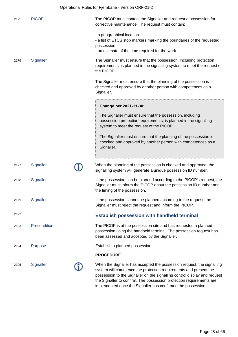|      |              | Operational Rules for Fjernbane - Version ORF-21-2                                                                                                                                                                                                                                              |
|------|--------------|-------------------------------------------------------------------------------------------------------------------------------------------------------------------------------------------------------------------------------------------------------------------------------------------------|
| 2175 | <b>PICOP</b> | The PICOP must contact the Signaller and request a possession for<br>corrective maintenance. The request must contain:                                                                                                                                                                          |
|      |              | - a geographical location<br>- a list of ETCS stop markers marking the boundaries of the requested<br>possession<br>- an estimate of the time required for the work.                                                                                                                            |
| 2176 | Signaller    | The Signaller must ensure that the possession, including protection<br>requirements, is planned in the signalling system to meet the request of<br>the PICOP.                                                                                                                                   |
|      |              | The Signaller must ensure that the planning of the possession is<br>checked and approved by another person with competences as a<br>Signaller.                                                                                                                                                  |
|      |              | Change per 2021-11-30:                                                                                                                                                                                                                                                                          |
|      |              | The Signaller must ensure that the possession, including<br>possession-protection requirements, is planned in the signalling<br>system to meet the request of the PICOP.                                                                                                                        |
|      |              | The Signaller must ensure that the planning of the possession is<br>checked and approved by another person with competences as a<br>Signaller.                                                                                                                                                  |
| 2177 | Signaller    | When the planning of the possession is checked and approved, the<br>signalling system will generate a unique possession ID number.                                                                                                                                                              |
| 2178 | Signaller    | If the possession can be planned according to the PICOP's request, the<br>Signaller must inform the PICOP about the possession ID number and<br>the timing of the possession.                                                                                                                   |
| 2179 | Signaller    | If the possession cannot be planned according to the request, the<br>Signaller must reject the request and inform the PICOP.                                                                                                                                                                    |
| 2192 |              | <b>Establish possession with handheld terminal</b>                                                                                                                                                                                                                                              |
| 2193 | Precondition | The PICOP is at the possession site and has requested a planned<br>possession using the handheld terminal. The possession request has<br>been assessed and accepted by the Signaller.                                                                                                           |
| 2194 | Purpose      | Establish a planned possession.                                                                                                                                                                                                                                                                 |
|      |              | <b>PROCEDURE</b>                                                                                                                                                                                                                                                                                |
| 2195 | Signaller    | When the Signaller has accepted the possession request, the signalling<br>system will commence the protection requirements and present the<br>possession to the Signaller on the signalling control display and request<br>the Signaller to confirm. The possession protection requirements are |

implemented once the Signaller has confirmed the possession.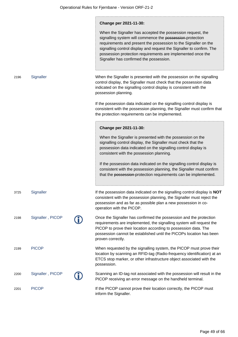|      |                  | Change per 2021-11-30:<br>When the Signaller has accepted the possession request, the<br>signalling system will commence the possession-protection<br>requirements and present the possession to the Signaller on the<br>signalling control display and request the Signaller to confirm. The<br>possession protection requirements are implemented once the<br>Signaller has confirmed the possession. |
|------|------------------|---------------------------------------------------------------------------------------------------------------------------------------------------------------------------------------------------------------------------------------------------------------------------------------------------------------------------------------------------------------------------------------------------------|
| 2196 | Signaller        | When the Signaller is presented with the possession on the signalling<br>control display, the Signaller must check that the possession data<br>indicated on the signalling control display is consistent with the<br>possession planning.                                                                                                                                                               |
|      |                  | If the possession data indicated on the signalling control display is<br>consistent with the possession planning, the Signaller must confirm that<br>the protection requirements can be implemented.                                                                                                                                                                                                    |
|      |                  | Change per 2021-11-30:                                                                                                                                                                                                                                                                                                                                                                                  |
|      |                  | When the Signaller is presented with the possession on the<br>signalling control display, the Signaller must check that the<br>possession data indicated on the signalling control display is<br>consistent with the possession planning.                                                                                                                                                               |
|      |                  | If the possession data indicated on the signalling control display is<br>consistent with the possession planning, the Signaller must confirm<br>that the possession-protection requirements can be implemented.                                                                                                                                                                                         |
| 3725 | Signaller        | If the possession data indicated on the signalling control display is NOT<br>consistent with the possession planning, the Signaller must reject the<br>possession and as far as possible plan a new possession in co-<br>operation with the PICOP.                                                                                                                                                      |
| 2198 | Signaller, PICOP | Once the Signaller has confirmed the possession and the protection<br>requirements are implemented, the signalling system will request the<br>PICOP to prove their location according to possession data. The<br>possession cannot be established until the PICOPs location has been<br>proven correctly.                                                                                               |
| 2199 | <b>PICOP</b>     | When requested by the signalling system, the PICOP must prove their<br>location by scanning an RFID-tag (Radio-frequency identification) at an<br>ETCS stop marker, or other infrastructure object associated with the<br>possession.                                                                                                                                                                   |
| 2200 | Signaller, PICOP | Scanning an ID-tag not associated with the possession will result in the<br>PICOP receiving an error message on the handheld terminal.                                                                                                                                                                                                                                                                  |
| 2201 | <b>PICOP</b>     | If the PICOP cannot prove their location correctly, the PICOP must<br>inform the Signaller.                                                                                                                                                                                                                                                                                                             |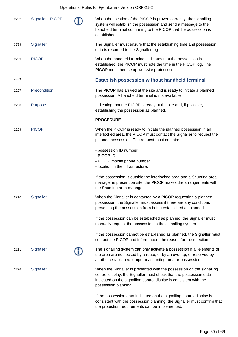## Operational Rules for Fjernbane - Version ORF-21-2

| 2202 | Signaller, PICOP | When the location of the PICOP is proven correctly, the signalling<br>system will establish the possession and send a message to the<br>handheld terminal confirming to the PICOP that the possession is<br>established.                  |
|------|------------------|-------------------------------------------------------------------------------------------------------------------------------------------------------------------------------------------------------------------------------------------|
| 3789 | Signaller        | The Signaller must ensure that the establishing time and possession<br>data is recorded in the Signaller log.                                                                                                                             |
| 2203 | <b>PICOP</b>     | When the handheld terminal indicates that the possession is<br>established, the PICOP must note the time in the PICOP log. The<br>PICOP must then setup worksite protection.                                                              |
| 2206 |                  | <b>Establish possession without handheld terminal</b>                                                                                                                                                                                     |
| 2207 | Precondition     | The PICOP has arrived at the site and is ready to initiate a planned<br>possession. A handheld terminal is not available.                                                                                                                 |
| 2208 | Purpose          | Indicating that the PICOP is ready at the site and, if possible,<br>establishing the possession as planned.                                                                                                                               |
|      |                  | <b>PROCEDURE</b>                                                                                                                                                                                                                          |
| 2209 | <b>PICOP</b>     | When the PICOP is ready to initiate the planned possession in an<br>interlocked area, the PICOP must contact the Signaller to request the<br>planned possession. The request must contain:                                                |
|      |                  | - possession ID number<br>- PICOP ID<br>- PICOP mobile phone number<br>- location in the infrastructure.                                                                                                                                  |
|      |                  | If the possession is outside the interlocked area and a Shunting area<br>manager is present on site, the PICOP makes the arrangements with<br>the Shunting area manager.                                                                  |
| 2210 | Signaller        | When the Signaller is contacted by a PICOP requesting a planned<br>possession, the Signaller must assess if there are any conditions<br>preventing the possession from being established as planned.                                      |
|      |                  | If the possession can be established as planned, the Signaller must<br>manually request the possession in the signalling system.                                                                                                          |
|      |                  | If the possession cannot be established as planned, the Signaller must<br>contact the PICOP and inform about the reason for the rejection.                                                                                                |
| 2211 | Signaller        | The signalling system can only activate a possession if all elements of<br>the area are not locked by a route, or by an overlap, or reserved by<br>another established temporary shunting area or possession.                             |
| 3726 | Signaller        | When the Signaller is presented with the possession on the signalling<br>control display, the Signaller must check that the possession data<br>indicated on the signalling control display is consistent with the<br>possession planning. |
|      |                  | If the possession data indicated on the signalling control display is<br>consistent with the possession planning, the Signaller must confirm that<br>the protection requirements can be implemented.                                      |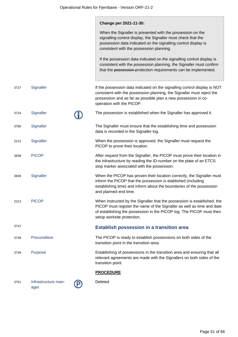|      |                             | Change per 2021-11-30:                                                                                                                                                                                                                                   |
|------|-----------------------------|----------------------------------------------------------------------------------------------------------------------------------------------------------------------------------------------------------------------------------------------------------|
|      |                             | When the Signaller is presented with the possession on the<br>signalling control display, the Signaller must check that the<br>possession data indicated on the signalling control display is<br>consistent with the possession planning.                |
|      |                             | If the possession data indicated on the signalling control display is<br>consistent with the possession planning, the Signaller must confirm<br>that the possession-protection requirements can be implemented.                                          |
| 3727 | Signaller                   | If the possession data indicated on the signalling control display is NOT<br>consistent with the possession planning, the Signaller must reject the<br>possession and as far as possible plan a new possession in co-<br>operation with the PICOP.       |
| 3724 | Signaller                   | The possession is established when the Signaller has approved it.                                                                                                                                                                                        |
| 3790 | Signaller                   | The Signaller must ensure that the establishing time and possession<br>data is recorded in the Signaller log.                                                                                                                                            |
| 2212 | Signaller                   | When the possession is approved, the Signaller must request the<br>PICOP to prove their location.                                                                                                                                                        |
| 3838 | <b>PICOP</b>                | After request from the Signaller, the PICOP must prove their location in<br>the infrastructure by reading the ID-number on the plate of an ETCS<br>stop marker associated with the possession.                                                           |
| 3839 | Signaller                   | When the PICOP has proven their location correctly, the Signaller must<br>inform the PICOP that the possession is etablished (including<br>establishing time) and inform about the boundaries of the possession<br>and planned end time.                 |
| 2213 | <b>PICOP</b>                | When instructed by the Signaller that the possession is established, the<br>PICOP must register the name of the Signaller as well as time and date<br>of establishing the possession in the PICOP log. The PICOP must then<br>setup worksite protection. |
| 3747 |                             | <b>Establish possession in a transition area</b>                                                                                                                                                                                                         |
| 3748 | Precondition                | The PICOP is ready to establish possessions on both sides of the<br>transition point in the transition area.                                                                                                                                             |
| 3749 | Purpose                     | Establishing of possessions in the transition area and ensuring that all<br>relevant agreements are made with the Signallers on both sides of the<br>transition point.                                                                                   |
|      |                             | <b>PROCEDURE</b>                                                                                                                                                                                                                                         |
| 3751 | Infrastructure man-<br>ager | Deleted                                                                                                                                                                                                                                                  |

ager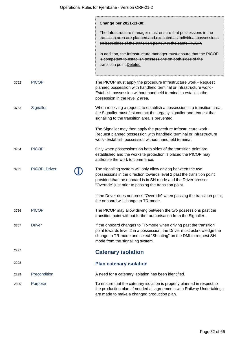|      |               | Change per 2021-11-30:                                                                                                                                                                                                                                              |
|------|---------------|---------------------------------------------------------------------------------------------------------------------------------------------------------------------------------------------------------------------------------------------------------------------|
|      |               | The Infrastructure manager must ensure that possessions in the<br>transition area are planned and executed as individual possessions<br>on both sides of the transition point with the same PICOP.                                                                  |
|      |               | In addition, the Infrastructure manager must ensure that the PICOP<br>is competent to establish possessions on both sides of the<br>transition point. Deleted                                                                                                       |
| 3752 | <b>PICOP</b>  | The PICOP must apply the procedure Infrastructure work - Request<br>planned possession with handheld terminal or Infrastructure work -<br>Establish possession without handheld terminal to establish the<br>possession in the level 2 area.                        |
| 3753 | Signaller     | When receiving a request to establish a possession in a transition area,<br>the Signaller must first contact the Legacy signaller and request that<br>signalling to the transition area is prevented.                                                               |
|      |               | The Signaller may then apply the procedure Infrastructure work -<br>Request planned possession with handheld terminal or Infrastructure<br>work - Establish possession without handheld terminal.                                                                   |
| 3754 | <b>PICOP</b>  | Only when possessions on both sides of the transition point are<br>established and the worksite protection is placed the PICOP may<br>authorise the work to commence.                                                                                               |
| 3755 | PICOP, Driver | The signalling system will only allow driving between the two<br>possessions in the direction towards level 2 past the transition point<br>provided that the onboard is in SH-mode and the Driver presses<br>"Override" just prior to passing the transition point. |
|      |               | If the Driver does not press "Override" when passing the transition point,<br>the onboard will change to TR-mode.                                                                                                                                                   |
| 3756 | <b>PICOP</b>  | The PICOP may allow driving between the two possessions past the<br>transition point without further authorisation from the Signaller.                                                                                                                              |
| 3757 | <b>Driver</b> | If the onboard changes to TR-mode when driving past the transition<br>point towards level 2 in a possession, the Driver must acknowledge the<br>change to TR-mode and select "Shunting" on the DMI to request SH-<br>mode from the signalling system.               |
| 2297 |               | <b>Catenary isolation</b>                                                                                                                                                                                                                                           |
| 2298 |               | <b>Plan catenary isolation</b>                                                                                                                                                                                                                                      |
| 2299 | Precondition  | A need for a catenary isolation has been identified.                                                                                                                                                                                                                |
| 2300 | Purpose       | To ensure that the catenary isolation is properly planned in respect to<br>the production plan. If needed all agreements with Railway Undertakings<br>are made to make a changed production plan.                                                                   |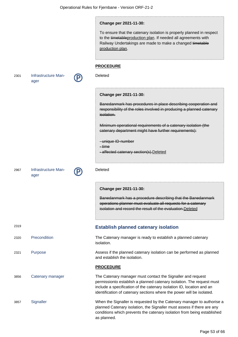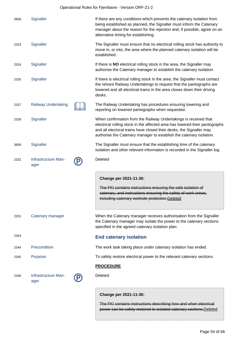|      | Operational Rules for Fjernbane - Version ORF-21-2 |  |                                                                                                                                                                                                                                                                                                |  |
|------|----------------------------------------------------|--|------------------------------------------------------------------------------------------------------------------------------------------------------------------------------------------------------------------------------------------------------------------------------------------------|--|
| 3858 | Signaller                                          |  | If there are any conditions which prevents the catenary isolation from<br>being established as planned, the Signaller must inform the Catenary<br>manager about the reason for the rejection and, if possible, agree on an<br>alternative timing for establishing.                             |  |
| 2323 | Signaller                                          |  | The Signaller must ensure that no electrical rolling stock has authority to<br>move in, or into, the area where the planned catenary isolation will be<br>established.                                                                                                                         |  |
| 2324 | Signaller                                          |  | If there is NO electrical rolling stock in the area, the Signaller may<br>authorise the Catenary manager to establish the catenary isolation.                                                                                                                                                  |  |
| 2326 | Signaller                                          |  | If there is electrical rolling stock in the area, the Signaller must contact<br>the relvant Railway Undertakings to request that the pantographs are<br>lowered and all electrical trains in the area closes down their driving<br>desks.                                                      |  |
| 2327 | <b>Railway Undertaking</b>                         |  | The Railway Undertaking has procedures ensuring lowering and<br>reporting on lowered pantographs when requested.                                                                                                                                                                               |  |
| 2328 | Signaller                                          |  | When confirmation from the Railway Undertakings is received that<br>electrical rolling stock in the affected area has lowered their pantographs<br>and all electrical trains have closed their desks, the Signaller may<br>authorise the Catenary manager to establish the catenary isolation. |  |
| 3859 | Signaller                                          |  | The Signaller must ensure that the establishing time of the catenary<br>isolation and other relevant information is recorded in the Signaller log.                                                                                                                                             |  |
| 2332 | Infrastructure Man-<br>ager                        |  | Deleted                                                                                                                                                                                                                                                                                        |  |
|      |                                                    |  | Change per 2021-11-30:<br>The FKI contains instructions ensuring the safe isolation of<br>catenary, and instructions ensuring the safety of work crews,<br>including catenary worksite protection. Deleted                                                                                     |  |
| 2331 | Catenary manager                                   |  | When the Catenary manager receives authorisation from the Signaller<br>the Catenary manager may isolate the power to the catenary sections<br>specified in the agreed catenary isolation plan.                                                                                                 |  |
| 2343 |                                                    |  | <b>End catenary isolation</b>                                                                                                                                                                                                                                                                  |  |
| 2344 | Precondition                                       |  | The work task taking place under catenary isolation has ended.                                                                                                                                                                                                                                 |  |
| 2345 | Purpose                                            |  | To safely restore electrical power to the relevant catenary sections.                                                                                                                                                                                                                          |  |
|      |                                                    |  | <b>PROCEDURE</b>                                                                                                                                                                                                                                                                               |  |
| 2346 | Infrastructure Man-<br>ager                        |  | Deleted                                                                                                                                                                                                                                                                                        |  |
|      |                                                    |  | Change per 2021-11-30:                                                                                                                                                                                                                                                                         |  |

The FKI contains instructions describing how and when electrical power can be safely restored to isolated catenary sections.Deleted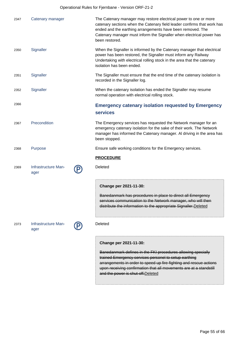| 2347 | Catenary manager            | The Catenary manager may restore electrical power to one or more<br>catenary sections when the Catenary field leader confirms that work has<br>ended and the earthing arrangements have been removed. The<br>Catenary manager must inform the Signaller when electrical power has<br>been restored. |
|------|-----------------------------|-----------------------------------------------------------------------------------------------------------------------------------------------------------------------------------------------------------------------------------------------------------------------------------------------------|
| 2350 | Signaller                   | When the Signaller is informed by the Catenary manager that electrical<br>power has been restored, the Signaller must inform any Railway<br>Undertaking with electrical rolling stock in the area that the catenary<br>isolation has been ended.                                                    |
| 2351 | Signaller                   | The Signaller must ensure that the end time of the catenary isolation is<br>recorded in the Signaller log.                                                                                                                                                                                          |
| 2352 | Signaller                   | When the catenary isolation has ended the Signaller may resume<br>normal operation with electrical rolling stock.                                                                                                                                                                                   |
| 2366 |                             | <b>Emergency catenary isolation requested by Emergency</b><br><b>services</b>                                                                                                                                                                                                                       |
| 2367 | Precondition                | The Emergency services has requested the Network manager for an<br>emergency catenary isolation for the sake of their work. The Network<br>manager has informed the Catenary manager. Al driving in the area has<br>been stopped.                                                                   |
| 2368 | Purpose                     | Ensure safe working conditions for the Emergency services.                                                                                                                                                                                                                                          |
|      |                             | <b>PROCEDURE</b>                                                                                                                                                                                                                                                                                    |
| 2369 | Infrastructure Man-<br>ager | Deleted                                                                                                                                                                                                                                                                                             |
|      |                             | Change per 2021-11-30:                                                                                                                                                                                                                                                                              |
|      |                             | Banedanmark has procedures in place to direct all Emergency<br>services communication to the Network manager, who will then<br>distribute the information to the appropriate Signaller. Deleted                                                                                                     |
| 2373 | Infrastructure Man-<br>ager | Deleted                                                                                                                                                                                                                                                                                             |
|      |                             | Change per 2021-11-30:<br>Banedanmark defines in the FKI procedures allowing specially<br>trained Emergency services personel to setup earthing<br>arrangements in order to speed up fire-fighting and rescue actions<br>upon receiving confirmation that all movements are at a standstill         |

and the power is shut-off. Deleted

÷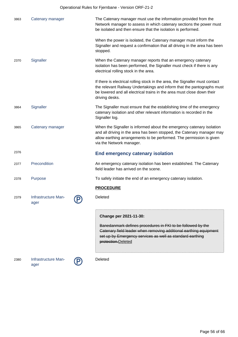Operational Rules for Fjernbane - Version ORF-21-2

| 3863 | Catenary manager            | The Catenary manager must use the information provided from the<br>Network manager to assess in which catenary sections the power must<br>be isolated and then ensure that the isolation is performed.                                              |
|------|-----------------------------|-----------------------------------------------------------------------------------------------------------------------------------------------------------------------------------------------------------------------------------------------------|
|      |                             | When the power is isolated, the Catenary manager must inform the<br>Signaller and request a confirmation that all driving in the area has been<br>stopped.                                                                                          |
| 2370 | Signaller                   | When the Catenary manager reports that an emergency catenary<br>isolation has been performed, the Signaller must check if there is any<br>electrical rolling stock in the area.                                                                     |
|      |                             | If there is electrical rolling stock in the area, the Signaller must contact<br>the relevant Railway Undertakings and inform that the pantographs must<br>be lowered and all electrical trains in the area must close down their<br>driving desks.  |
| 3864 | Signaller                   | The Signaller must ensure that the establishing time of the emergency<br>catenary isolation and other relevant information is recorded in the<br>Signaller log.                                                                                     |
| 3865 | Catenary manager            | When the Signaller is informed about the emergency catenary isolation<br>and all driving in the area has been stopped, the Catenary manager may<br>allow earthing arrangements to be performed. The permission is given<br>via the Network manager. |
| 2376 |                             | End emergency catenary isolation                                                                                                                                                                                                                    |
| 2377 | Precondition                | An emergency catenary isolation has been established. The Catenary<br>field leader has arrived on the scene.                                                                                                                                        |
| 2378 | Purpose                     | To safely initiate the end of an emergency catenary isolation.                                                                                                                                                                                      |
|      |                             | <b>PROCEDURE</b>                                                                                                                                                                                                                                    |
| 2379 | Infrastructure Man-<br>ager | Deleted                                                                                                                                                                                                                                             |
|      |                             | Change per 2021-11-30:                                                                                                                                                                                                                              |
|      |                             | Banedanmark defines procedures in FKI to be followed by the<br>Catenary field leader when removing additional earthing equipment<br>set up by Emergency services as well as standard earthing<br>protection.Deleted                                 |
| 2380 | Infrastructure Man-<br>ager | Deleted                                                                                                                                                                                                                                             |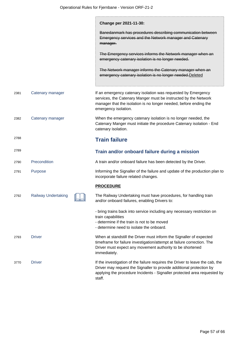|      |                            | Change per 2021-11-30:                                                                                                                                                                                                                      |
|------|----------------------------|---------------------------------------------------------------------------------------------------------------------------------------------------------------------------------------------------------------------------------------------|
|      |                            | Banedanmark has procedures describing communication between<br>Emergency services and the Network manager and Catenary<br>manager.                                                                                                          |
|      |                            | The Emergency services informs the Network manager when an<br>emergency catenary isolation is no longer needed.                                                                                                                             |
|      |                            | The Network manager informs the Catenary manager when an<br>emergency catenary isolation is no longer needed. Deleted                                                                                                                       |
| 2381 | Catenary manager           | If an emergency catenary isolation was requested by Emergency<br>services, the Catenary Manger must be instructed by the Network<br>manager that the isolation is no longer needed, before ending the<br>emergency isolation.               |
| 2382 | Catenary manager           | When the emergency catenary isolation is no longer needed, the<br>Catenary Manger must initiate the procedure Catenary isolation - End<br>catenary isolation.                                                                               |
| 2788 |                            | <b>Train failure</b>                                                                                                                                                                                                                        |
| 2789 |                            | Train and/or onboard failure during a mission                                                                                                                                                                                               |
| 2790 | Precondition               | A train and/or onboard failure has been detected by the Driver.                                                                                                                                                                             |
| 2791 | Purpose                    | Informing the Signaller of the failure and update of the production plan to<br>incorporate failure related changes.                                                                                                                         |
|      |                            | <b>PROCEDURE</b>                                                                                                                                                                                                                            |
| 2792 | <b>Railway Undertaking</b> | The Railway Undertaking must have procedures, for handling train<br>and/or onboard failures, enabling Drivers to:                                                                                                                           |
|      |                            | - bring trains back into service including any necessary restriction on<br>train capabilities<br>- determine if the train is not to be moved<br>- determine need to isolate the onboard.                                                    |
| 2793 | <b>Driver</b>              | When at standstill the Driver must inform the Signaller of expected<br>timeframe for failure investigation/attempt at failure correction. The<br>Driver must expect any movement authority to be shortened<br>immediately.                  |
| 3770 | <b>Driver</b>              | If the investigation of the failure requires the Driver to leave the cab, the<br>Driver may request the Signaller to provide additional protection by<br>applying the procedure Incidents - Signaller protected area requested by<br>staff. |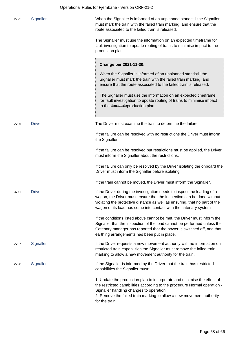| 2795 | Signaller     | When the Signaller is informed of an unplanned standstill the Signaller<br>must mark the train with the failed train marking, and ensure that the<br>route associated to the failed train is released.                                                                                              |
|------|---------------|-----------------------------------------------------------------------------------------------------------------------------------------------------------------------------------------------------------------------------------------------------------------------------------------------------|
|      |               | The Signaller must use the information on an expected timeframe for<br>fault investigation to update routing of trains to minimise impact to the<br>production plan.                                                                                                                                |
|      |               | Change per 2021-11-30:                                                                                                                                                                                                                                                                              |
|      |               | When the Signaller is informed of an unplanned standstill the<br>Signaller must mark the train with the failed train marking, and<br>ensure that the route associated to the failed train is released.                                                                                              |
|      |               | The Signaller must use the information on an expected timeframe<br>for fault investigation to update routing of trains to minimise impact<br>to the timetableproduction plan.                                                                                                                       |
| 2796 | <b>Driver</b> | The Driver must examine the train to determine the failure.                                                                                                                                                                                                                                         |
|      |               | If the failure can be resolved with no restrictions the Driver must inform<br>the Signaller.                                                                                                                                                                                                        |
|      |               | If the failure can be resolved but restrictions must be applied, the Driver<br>must inform the Signaller about the restrictions.                                                                                                                                                                    |
|      |               | If the failure can only be resolved by the Driver isolating the onboard the<br>Driver must inform the Signaller before isolating.                                                                                                                                                                   |
|      |               | If the train cannot be moved, the Driver must inform the Signaller.                                                                                                                                                                                                                                 |
| 3771 | <b>Driver</b> | If the Driver during the investigation needs to inspect the loading of a<br>wagon, the Driver must ensure that the inspection can be done without<br>violating the protective distance as well as ensuring, that no part of the<br>wagon or its load has come into contact with the catenary system |
|      |               | If the conditions listed above cannot be met, the Driver must inform the<br>Signaller that the inspection of the load cannot be performed unless the<br>Catenary manager has reported that the power is switched off, and that<br>earthing arrangements has been put in place.                      |
| 2797 | Signaller     | If the Driver requests a new movement authority with no information on<br>restricted train capabilities the Signaller must remove the failed train<br>marking to allow a new movement authority for the train.                                                                                      |
| 2798 | Signaller     | If the Signaller is informed by the Driver that the train has restricted<br>capabilities the Signaller must:                                                                                                                                                                                        |
|      |               | 1. Update the production plan to incorporate and minimise the effect of<br>the restricted capabilities according to the procedure Normal operation -<br>Signaller handling changes to operation<br>2. Remove the failed train marking to allow a new movement authority<br>for the train.           |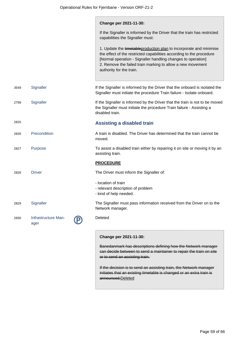|      |                             | Change per 2021-11-30:                                                                                                                                                                                                                                                                               |
|------|-----------------------------|------------------------------------------------------------------------------------------------------------------------------------------------------------------------------------------------------------------------------------------------------------------------------------------------------|
|      |                             | If the Signaller is informed by the Driver that the train has restricted<br>capabilities the Signaller must:                                                                                                                                                                                         |
|      |                             | 1. Update the timetableproduction plan to incorporate and minimise<br>the effect of the restricted capabilities according to the procedure<br>[Normal operation - Signaller handling changes to operation]<br>2. Remove the failed train marking to allow a new movement<br>authority for the train. |
| 3549 | Signaller                   | If the Signaller is informed by the Driver that the onboard is isolated the<br>Signaller must initiate the procedure Train failure - Isolate onboard.                                                                                                                                                |
| 2799 | Signaller                   | If the Signaller is informed by the Driver that the train is not to be moved<br>the Signaller must initiate the procedure Train failure - Assisting a<br>disabled train.                                                                                                                             |
| 2825 |                             | <b>Assisting a disabled train</b>                                                                                                                                                                                                                                                                    |
| 2826 | Precondition                | A train is disabled. The Driver has determined that the train cannot be<br>moved.                                                                                                                                                                                                                    |
| 2827 | Purpose                     | To assist a disabled train either by repairing it on site or moving it by an<br>assisting train.                                                                                                                                                                                                     |
|      |                             | <b>PROCEDURE</b>                                                                                                                                                                                                                                                                                     |
| 2828 | <b>Driver</b>               | The Driver must inform the Signaller of:                                                                                                                                                                                                                                                             |
|      |                             | - location of train<br>- relevant description of problem<br>- kind of help needed.                                                                                                                                                                                                                   |
| 2829 | Signaller                   | The Signaller must pass information received from the Driver on to the<br>Network manager.                                                                                                                                                                                                           |
| 2830 | Infrastructure Man-<br>ager | Deleted                                                                                                                                                                                                                                                                                              |
|      |                             | Change per 2021-11-30:                                                                                                                                                                                                                                                                               |
|      |                             | Banedanmark has descriptions defining how the Network manager<br>can decide between to send a maintainer to repair the train on site<br>or to send an assisting train.                                                                                                                               |
|      |                             | If the decision is to send an assisting train, the Network manager<br>initiates that an existing timetable is changed or an extra train is<br>announced.Deleted                                                                                                                                      |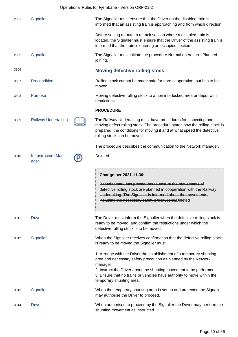|      | Operational Rules for Fjernbane - Version ORF-21-2 |  |                                                                                                                                                                                                                                                                                                                               |  |
|------|----------------------------------------------------|--|-------------------------------------------------------------------------------------------------------------------------------------------------------------------------------------------------------------------------------------------------------------------------------------------------------------------------------|--|
| 2831 | Signaller                                          |  | The Signaller must ensure that the Driver on the disabled train is<br>informed that an assisting train is approaching and from which direction.                                                                                                                                                                               |  |
|      |                                                    |  | Before setting a route to a track section where a disabled train is<br>located, the Signaller must ensure that the Driver of the assisting train is<br>informed that the train is entering an occupied section.                                                                                                               |  |
| 2832 | Signaller                                          |  | The Signaller must initiate the procedure Normal operation - Planned<br>joining.                                                                                                                                                                                                                                              |  |
| 3306 |                                                    |  | <b>Moving defective rolling stock</b>                                                                                                                                                                                                                                                                                         |  |
| 3307 | Precondition                                       |  | Rolling stock cannot be made safe for normal operation, but has to be<br>moved.                                                                                                                                                                                                                                               |  |
| 3308 | Purpose                                            |  | Moving defective rolling stock to a non interlocked area or depot with<br>restrictions.                                                                                                                                                                                                                                       |  |
|      |                                                    |  | <b>PROCEDURE</b>                                                                                                                                                                                                                                                                                                              |  |
| 3309 | <b>Railway Undertaking</b>                         |  | The Railway Undertaking must have procedures for inspecting and<br>moving defect rolling stock. The procedure states how the rolling stock is<br>prepared, the conditions for moving it and at what speed the defective<br>rolling stock can be moved.                                                                        |  |
|      |                                                    |  | The procedure describes the communication to the Network manager.                                                                                                                                                                                                                                                             |  |
| 3310 | Infrastructure Man-<br>ager                        |  | Deleted                                                                                                                                                                                                                                                                                                                       |  |
|      |                                                    |  | Change per 2021-11-30:<br>Banedanmark has procedures to ensure the movements of<br>defective rolling stock are planned in cooperation with the Railway<br>Undertaking. The Signaller is informed about the movements,<br>including the necessary safety precautions. Deleted                                                  |  |
| 3311 | <b>Driver</b>                                      |  | The Driver must inform the Signaller when the defective rolling stock is<br>ready to be moved, and confirm the restrictions under which the<br>defective rolling stock is to be moved.                                                                                                                                        |  |
| 3312 | Signaller                                          |  | When the Signaller receives confirmation that the defective rolling stock<br>is ready to be moved the Signaller must:                                                                                                                                                                                                         |  |
|      |                                                    |  | 1. Arrange with the Driver the establishment of a temporary shunting<br>area and necessary safety precaution as planned by the Network<br>manager<br>2. Instruct the Driver about the shunting movement to be performed<br>3. Ensure that no trains or vehicles have authority to move within the<br>temporary shunting area. |  |
| 3313 | Signaller                                          |  | When the temporary shunting area is set up and protected the Signaller<br>may authorise the Driver to proceed.                                                                                                                                                                                                                |  |
| 3314 | <b>Driver</b>                                      |  | When authorised to proceed by the Signaller the Driver may perform the<br>shunting movement as instructed.                                                                                                                                                                                                                    |  |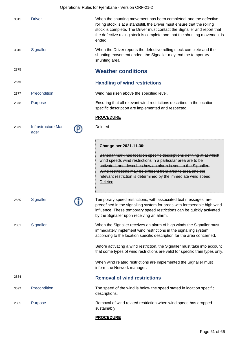|      |                             | Operational Rules for Fjernbane - Version ORF-21-2                                                                                                                                                                                                                                                                                                          |
|------|-----------------------------|-------------------------------------------------------------------------------------------------------------------------------------------------------------------------------------------------------------------------------------------------------------------------------------------------------------------------------------------------------------|
| 3315 | <b>Driver</b>               | When the shunting movement has been completed, and the defective<br>rolling stock is at a standstill, the Driver must ensure that the rolling<br>stock is complete. The Driver must contact the Signaller and report that<br>the defective rolling stock is complete and that the shunting movement is<br>ended.                                            |
| 3316 | Signaller                   | When the Driver reports the defective rolling stock complete and the<br>shunting movement ended, the Signaller may end the temporary<br>shunting area.                                                                                                                                                                                                      |
| 2875 |                             | <b>Weather conditions</b>                                                                                                                                                                                                                                                                                                                                   |
| 2876 |                             | <b>Handling of wind restrictions</b>                                                                                                                                                                                                                                                                                                                        |
| 2877 | Precondition                | Wind has risen above the specified level.                                                                                                                                                                                                                                                                                                                   |
| 2878 | Purpose                     | Ensuring that all relevant wind restrictions described in the location<br>specific description are implemented and respected.                                                                                                                                                                                                                               |
|      |                             | <b>PROCEDURE</b>                                                                                                                                                                                                                                                                                                                                            |
| 2879 | Infrastructure Man-<br>ager | Deleted                                                                                                                                                                                                                                                                                                                                                     |
|      |                             | Change per 2021-11-30:                                                                                                                                                                                                                                                                                                                                      |
|      |                             | Banedanmark has location specific descriptions defining at at which<br>wind speeds wind restrictions in a particular area are to be<br>activated, and describes how an alarm is sent to the Signaller.<br>Wind restrictions may be different from area to area and the<br>relevant restriction is determined by the immediate wind speed.<br><b>Deleted</b> |
| 2880 | Signaller                   | Temporary speed restrictions, with associated text messages, are<br>predefined in the signalling system for areas with foreseeable high wind<br>influence. These temporary speed restrictions can be quickly activated<br>by the Signaller upon receiving an alarm.                                                                                         |
| 2881 | Signaller                   | When the Signaller receives an alarm of high winds the Signaller must<br>immediately implement wind restrictions in the signalling system<br>according to the location specific description for the area concerned.                                                                                                                                         |
|      |                             | Before activating a wind restriction, the Signaller must take into account<br>that some types of wind restrictions are valid for specific train types only.                                                                                                                                                                                                 |
|      |                             | When wind related restrictions are implemented the Signaller must<br>inform the Network manager.                                                                                                                                                                                                                                                            |
| 2884 |                             | <b>Removal of wind restrictions</b>                                                                                                                                                                                                                                                                                                                         |
| 3592 | Precondition                | The speed of the wind is below the speed stated in location specific<br>descriptions.                                                                                                                                                                                                                                                                       |
| 2885 | <b>Purpose</b>              | Removal of wind related restriction when wind speed has dropped<br>sustainably.                                                                                                                                                                                                                                                                             |

## **PROCEDURE**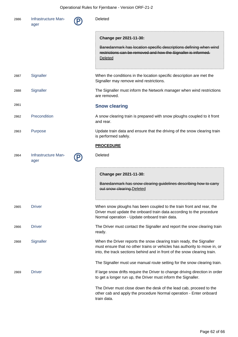| 2886 | Infrastructure Man-<br>ager | Deleted                                                                                                                                                                                                                       |
|------|-----------------------------|-------------------------------------------------------------------------------------------------------------------------------------------------------------------------------------------------------------------------------|
|      |                             | Change per 2021-11-30:                                                                                                                                                                                                        |
|      |                             | Banedanmark has location specific descriptions defining when wind<br>restrictions can be removed and how the Signaller is informed.<br>Deleted                                                                                |
| 2887 | Signaller                   | When the conditions in the location specific description are met the<br>Signaller may remove wind restrictions.                                                                                                               |
| 2888 | Signaller                   | The Signaller must inform the Network manager when wind restrictions<br>are removed.                                                                                                                                          |
| 2861 |                             | <b>Snow clearing</b>                                                                                                                                                                                                          |
| 2862 | Precondition                | A snow clearing train is prepared with snow ploughs coupled to it front<br>and rear.                                                                                                                                          |
| 2863 | Purpose                     | Update train data and ensure that the driving of the snow clearing train<br>is performed safely.                                                                                                                              |
|      |                             | <b>PROCEDURE</b>                                                                                                                                                                                                              |
| 2864 | Infrastructure Man-<br>ager | Deleted                                                                                                                                                                                                                       |
|      |                             | Change per 2021-11-30:<br>Banedanmark has snow clearing guidelines describing how to carry<br>out snow clearing. Deleted                                                                                                      |
| 2865 | <b>Driver</b>               | When snow ploughs has been coupled to the train front and rear, the<br>Driver must update the onboard train data according to the procedure<br>Normal operation - Update onboard train data.                                  |
| 2866 | <b>Driver</b>               | The Driver must contact the Signaller and report the snow clearing train<br>ready.                                                                                                                                            |
| 2868 | Signaller                   | When the Driver reports the snow clearing train ready, the Signaller<br>must ensure that no other trains or vehicles has authority to move in, or<br>into, the track sections behind and in front of the snow clearing train. |
|      |                             | The Signaller must use manual route setting for the snow clearing train.                                                                                                                                                      |
| 2869 | <b>Driver</b>               | If large snow drifts require the Driver to change driving direction in order<br>to get a longer run up, the Driver must inform the Signaller.                                                                                 |
|      |                             | The Driver must close down the desk of the lead cab, proceed to the<br>other cab and apply the procedure Normal operation - Enter onboard<br>train data.                                                                      |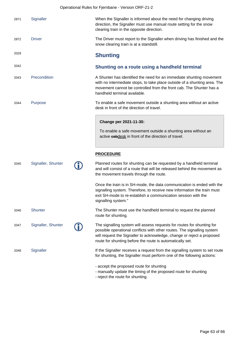|      |                    | Operational Rules for Fjernbane - Version ORF-21-2                                                                                                                                                                                                                                       |
|------|--------------------|------------------------------------------------------------------------------------------------------------------------------------------------------------------------------------------------------------------------------------------------------------------------------------------|
| 2871 | Signaller          | When the Signaller is informed about the need for changing driving<br>direction, the Signaller must use manual route setting for the snow<br>clearing train in the opposite direction.                                                                                                   |
| 2872 | <b>Driver</b>      | The Driver must report to the Signaller when driving has finished and the<br>snow clearing train is at a standstill.                                                                                                                                                                     |
| 3329 |                    | <b>Shunting</b>                                                                                                                                                                                                                                                                          |
| 3342 |                    | Shunting on a route using a handheld terminal                                                                                                                                                                                                                                            |
| 3343 | Precondition       | A Shunter has identified the need for an immediate shunting movement<br>with no intermediate stops, to take place outside of a shunting area. The<br>movement cannot be controlled from the front cab. The Shunter has a<br>handheld terminal available.                                 |
| 3344 | Purpose            | To enable a safe movement outside a shunting area without an active<br>desk in front of the direction of travel.                                                                                                                                                                         |
|      |                    | Change per 2021-11-30:<br>To enable a safe movement outside a shunting area without an<br>active eabdesk in front of the direction of travel.                                                                                                                                            |
|      |                    | <b>PROCEDURE</b>                                                                                                                                                                                                                                                                         |
| 3345 | Signaller, Shunter | Planned routes for shunting can be requested by a handheld terminal<br>and will consist of a route that will be released behind the movement as<br>the movement travels through the route.                                                                                               |
|      |                    | Once the train is in SH-mode, the data communication is ended with the<br>signalling system. Therefore, to receive new information the train must<br>exit SH-mode to re-establish a communication session with the<br>signalling system."                                                |
| 3346 | Shunter            | The Shunter must use the handheld terminal to request the planned<br>route for shunting.                                                                                                                                                                                                 |
| 3347 | Signaller, Shunter | The signalling system will assess requests for routes for shunting for<br>possible operational conflicts with other routes. The signalling system<br>will request the Signaller to acknowledge, change or reject a proposed<br>route for shunting before the route is automatically set. |
| 3348 | Signaller          | If the Signaller receives a request from the signalling system to set route<br>for shunting, the Signaller must perform one of the following actions:                                                                                                                                    |
|      |                    | - accept the proposed route for shunting<br>- manually update the timing of the proposed route for shunting                                                                                                                                                                              |

- reject the route for shunting.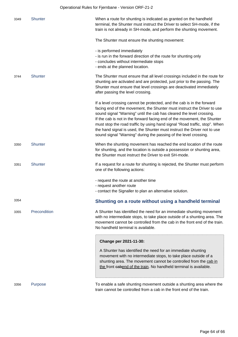|      |                | Operational Rules for Fjernbane - Version ORF-21-2                                                                                                                                                                                                                                                                                                                                                                                                                                                                                  |
|------|----------------|-------------------------------------------------------------------------------------------------------------------------------------------------------------------------------------------------------------------------------------------------------------------------------------------------------------------------------------------------------------------------------------------------------------------------------------------------------------------------------------------------------------------------------------|
| 3349 | Shunter        | When a route for shunting is indicated as granted on the handheld<br>terminal, the Shunter must instruct the Driver to select SH-mode, if the<br>train is not already in SH-mode, and perform the shunting movement.                                                                                                                                                                                                                                                                                                                |
|      |                | The Shunter must ensure the shunting movement:                                                                                                                                                                                                                                                                                                                                                                                                                                                                                      |
|      |                | - is performed immediately<br>- is run in the forward direction of the route for shunting only<br>- concludes without intermediate stops<br>- ends at the planned location.                                                                                                                                                                                                                                                                                                                                                         |
| 3744 | <b>Shunter</b> | The Shunter must ensure that all level crossings included in the route for<br>shunting are activated and are protected, just prior to the passing. The<br>Shunter must ensure that level crossings are deactivated immediately<br>after passing the level crossing.                                                                                                                                                                                                                                                                 |
|      |                | If a level crossing cannot be protected, and the cab is in the forward<br>facing end of the movement, the Shunter must instruct the Driver to use<br>sound signal "Warning" until the cab has cleared the level crossing.<br>If the cab is not in the forward facing end of the movement, the Shunter<br>must stop the road traffic by using hand signal "Road traffic, stop". When<br>the hand signal is used, the Shunter must instruct the Driver not to use<br>sound signal "Warning" during the passing of the level crossing. |
| 3350 | <b>Shunter</b> | When the shunting movement has reached the end location of the route<br>for shunting, and the location is outside a possession or shunting area,<br>the Shunter must instruct the Driver to exit SH-mode.                                                                                                                                                                                                                                                                                                                           |
| 3351 | Shunter        | If a request for a route for shunting is rejected, the Shunter must perform<br>one of the following actions:                                                                                                                                                                                                                                                                                                                                                                                                                        |
|      |                | - request the route at another time<br>- request another route<br>- contact the Signaller to plan an alternative solution.                                                                                                                                                                                                                                                                                                                                                                                                          |
| 3354 |                | Shunting on a route without using a handheld terminal                                                                                                                                                                                                                                                                                                                                                                                                                                                                               |
| 3355 | Precondition   | A Shunter has identified the need for an immediate shunting movement<br>with no intermediate stops, to take place outside of a shunting area. The<br>movement cannot be controlled from the cab in the front end of the train.<br>No handheld terminal is available.                                                                                                                                                                                                                                                                |
|      |                | Change per 2021-11-30:<br>A Shunter has identified the need for an immediate shunting<br>movement with no intermediate stops, to take place outside of a<br>shunting area. The movement cannot be controlled from the cab in<br>the front eabend of the train. No handheld terminal is available.                                                                                                                                                                                                                                   |
| 3356 | Purpose        | To enable a safe shunting movement outside a shunting area where the<br>train cannot be controlled from a cab in the front end of the train.                                                                                                                                                                                                                                                                                                                                                                                        |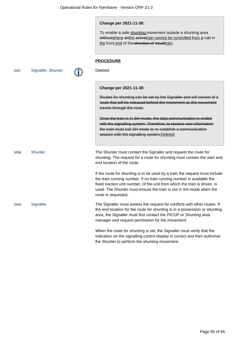#### **Change per 2021-11-30:**

To enable a safe shunting movement outside a shunting area without where anthe active train cannot be controlled from a cab in the front end of the direction of traveltrain.

#### **PROCEDURE**

3357 Signaller, Shunter **Paris, Calculated** 

#### **Change per 2021-11-30:**

Routes for shunting can be set by the Signaller and will consist of a route that will be released behind the movement as the movement travels through the route.

Once the train is in SH-mode, the data communication is ended with the signalling system. Therefore, to receive new information the train must exit SH-mode to re-establish a communication session with the signalling system. Deleted

3358 Shunter The Shunter must contact the Signaller and request the route for shunting. The request for a route for shunting must contain the start and end location of the route.

> If the route for shunting is to be used by a train the request must include the train running number. If no train running number is available the fixed traction unit number, of the unit from which the train is driven, is used. The Shunter must ensure the train is not in SH-mode when the route is requested.

3359 Signaller The Signaller must assess the request for conflicts with other routes. If the end location for the route for shunting is in a possession or shunting area, the Signaller must first contact the PICOP or Shunting area manager and request permission for the movement.

> When the route for shunting is set, the Signaller must verify that the indication on the signalling control display is correct and then authorise the Shunter to perform the shunting movement.